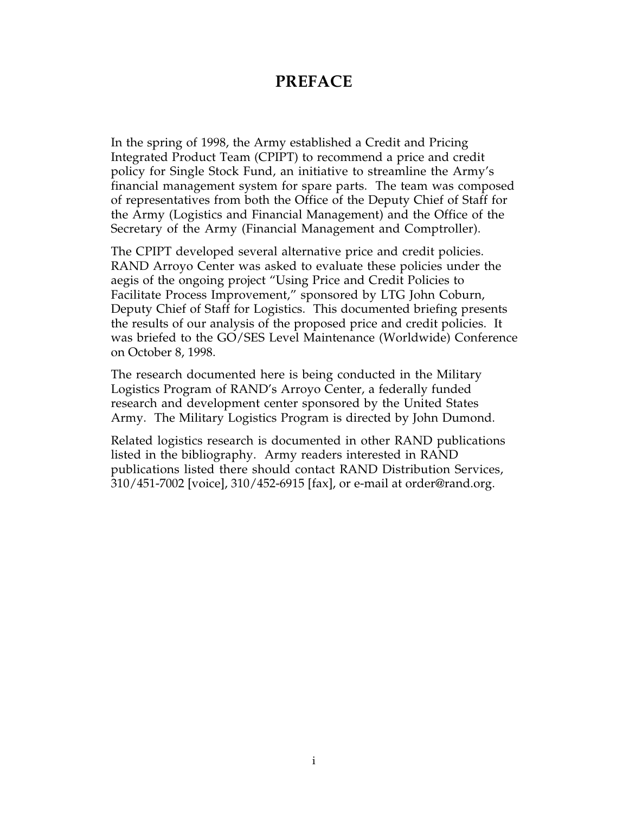### **PREFACE**

In the spring of 1998, the Army established a Credit and Pricing Integrated Product Team (CPIPT) to recommend a price and credit policy for Single Stock Fund, an initiative to streamline the Army's financial management system for spare parts. The team was composed of representatives from both the Office of the Deputy Chief of Staff for the Army (Logistics and Financial Management) and the Office of the Secretary of the Army (Financial Management and Comptroller).

The CPIPT developed several alternative price and credit policies. RAND Arroyo Center was asked to evaluate these policies under the aegis of the ongoing project "Using Price and Credit Policies to Facilitate Process Improvement," sponsored by LTG John Coburn, Deputy Chief of Staff for Logistics. This documented briefing presents the results of our analysis of the proposed price and credit policies. It was briefed to the GO/SES Level Maintenance (Worldwide) Conference on October 8, 1998.

The research documented here is being conducted in the Military Logistics Program of RAND's Arroyo Center, a federally funded research and development center sponsored by the United States Army. The Military Logistics Program is directed by John Dumond.

Related logistics research is documented in other RAND publications listed in the bibliography. Army readers interested in RAND publications listed there should contact RAND Distribution Services, 310/451-7002 [voice], 310/452-6915 [fax], or e-mail at order@rand.org.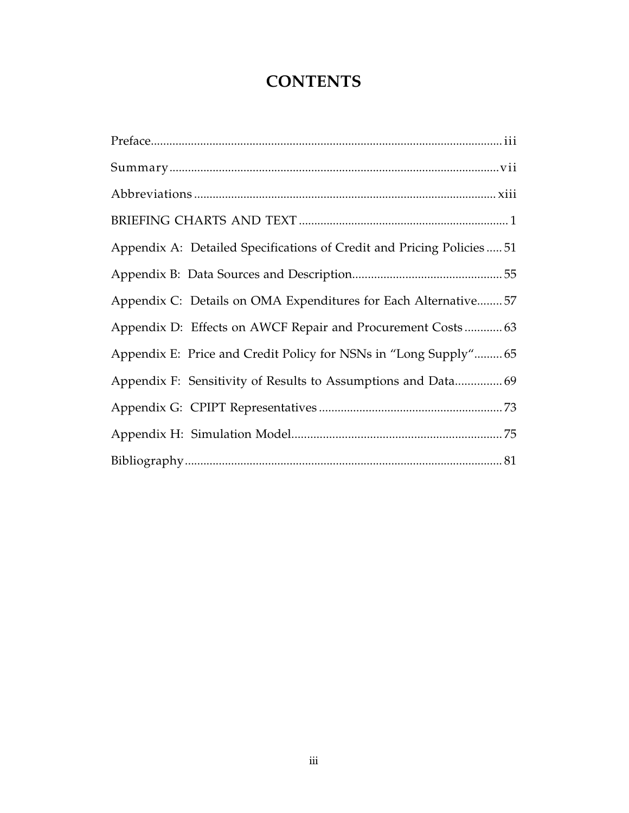# **CONTENTS**

| Appendix A: Detailed Specifications of Credit and Pricing Policies51 |  |
|----------------------------------------------------------------------|--|
|                                                                      |  |
| Appendix C: Details on OMA Expenditures for Each Alternative 57      |  |
|                                                                      |  |
| Appendix E: Price and Credit Policy for NSNs in "Long Supply" 65     |  |
| Appendix F: Sensitivity of Results to Assumptions and Data 69        |  |
|                                                                      |  |
|                                                                      |  |
|                                                                      |  |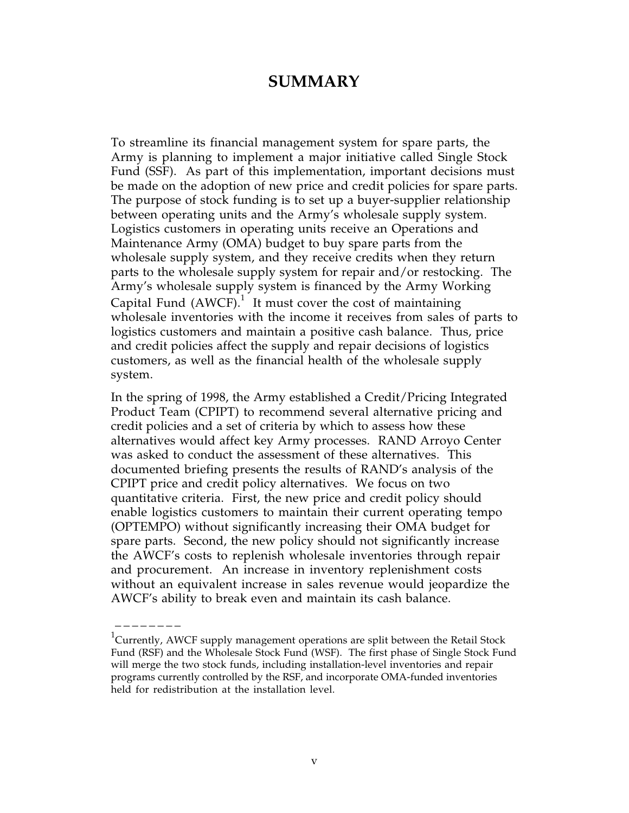#### **SUMMARY**

To streamline its financial management system for spare parts, the Army is planning to implement a major initiative called Single Stock Fund (SSF). As part of this implementation, important decisions must be made on the adoption of new price and credit policies for spare parts. The purpose of stock funding is to set up a buyer-supplier relationship between operating units and the Army's wholesale supply system. Logistics customers in operating units receive an Operations and Maintenance Army (OMA) budget to buy spare parts from the wholesale supply system, and they receive credits when they return parts to the wholesale supply system for repair and/or restocking. The Army's wholesale supply system is financed by the Army Working Capital Fund (AWCF). $^1$  It must cover the cost of maintaining wholesale inventories with the income it receives from sales of parts to logistics customers and maintain a positive cash balance. Thus, price and credit policies affect the supply and repair decisions of logistics customers, as well as the financial health of the wholesale supply system.

In the spring of 1998, the Army established a Credit/Pricing Integrated Product Team (CPIPT) to recommend several alternative pricing and credit policies and a set of criteria by which to assess how these alternatives would affect key Army processes. RAND Arroyo Center was asked to conduct the assessment of these alternatives. This documented briefing presents the results of RAND's analysis of the CPIPT price and credit policy alternatives. We focus on two quantitative criteria. First, the new price and credit policy should enable logistics customers to maintain their current operating tempo (OPTEMPO) without significantly increasing their OMA budget for spare parts. Second, the new policy should not significantly increase the AWCF's costs to replenish wholesale inventories through repair and procurement. An increase in inventory replenishment costs without an equivalent increase in sales revenue would jeopardize the AWCF's ability to break even and maintain its cash balance.

 $^{1}$ Currently, AWCF supply management operations are split between the Retail Stock Fund (RSF) and the Wholesale Stock Fund (WSF). The first phase of Single Stock Fund will merge the two stock funds, including installation-level inventories and repair programs currently controlled by the RSF, and incorporate OMA-funded inventories held for redistribution at the installation level.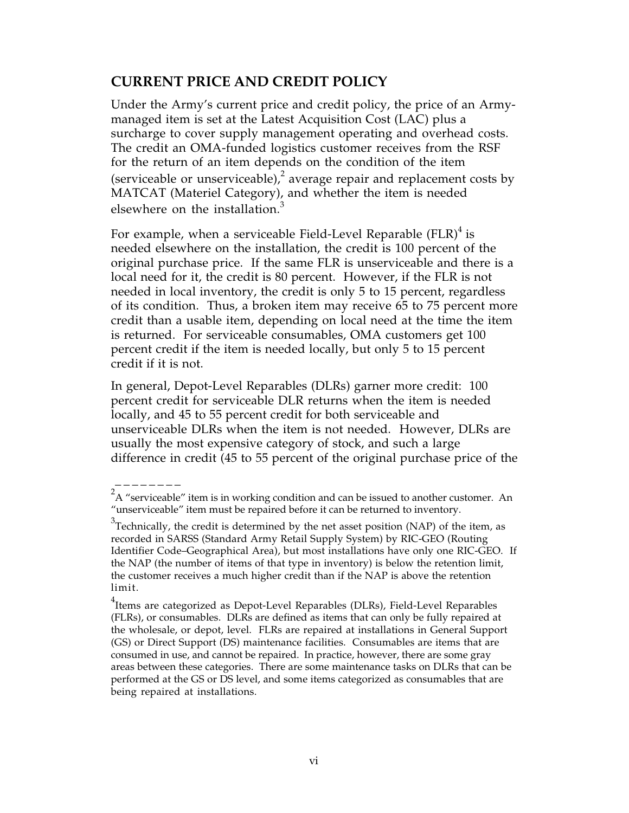#### **CURRENT PRICE AND CREDIT POLICY**

Under the Army's current price and credit policy, the price of an Armymanaged item is set at the Latest Acquisition Cost (LAC) plus a surcharge to cover supply management operating and overhead costs. The credit an OMA-funded logistics customer receives from the RSF for the return of an item depends on the condition of the item (serviceable or unserviceable),<sup>2</sup> average repair and replacement costs by MATCAT (Materiel Category), and whether the item is needed elsewhere on the installation. $3$ 

For example, when a serviceable Field-Level Reparable (FLR) $^4$  is needed elsewhere on the installation, the credit is 100 percent of the original purchase price. If the same FLR is unserviceable and there is a local need for it, the credit is 80 percent. However, if the FLR is not needed in local inventory, the credit is only 5 to 15 percent, regardless of its condition. Thus, a broken item may receive 65 to 75 percent more credit than a usable item, depending on local need at the time the item is returned. For serviceable consumables, OMA customers get 100 percent credit if the item is needed locally, but only 5 to 15 percent credit if it is not.

In general, Depot-Level Reparables (DLRs) garner more credit: 100 percent credit for serviceable DLR returns when the item is needed locally, and 45 to 55 percent credit for both serviceable and unserviceable DLRs when the item is not needed. However, DLRs are usually the most expensive category of stock, and such a large difference in credit (45 to 55 percent of the original purchase price of the

 $2A$  "serviceable" item is in working condition and can be issued to another customer. An "unserviceable" item must be repaired before it can be returned to inventory.

 $3$ Technically, the credit is determined by the net asset position (NAP) of the item, as recorded in SARSS (Standard Army Retail Supply System) by RIC-GEO (Routing Identifier Code–Geographical Area), but most installations have only one RIC-GEO. If the NAP (the number of items of that type in inventory) is below the retention limit, the customer receives a much higher credit than if the NAP is above the retention limit.

 $^4$ Items are categorized as Depot-Level Reparables (DLRs), Field-Level Reparables (FLRs), or consumables. DLRs are defined as items that can only be fully repaired at the wholesale, or depot, level. FLRs are repaired at installations in General Support (GS) or Direct Support (DS) maintenance facilities. Consumables are items that are consumed in use, and cannot be repaired. In practice, however, there are some gray areas between these categories. There are some maintenance tasks on DLRs that can be performed at the GS or DS level, and some items categorized as consumables that are being repaired at installations.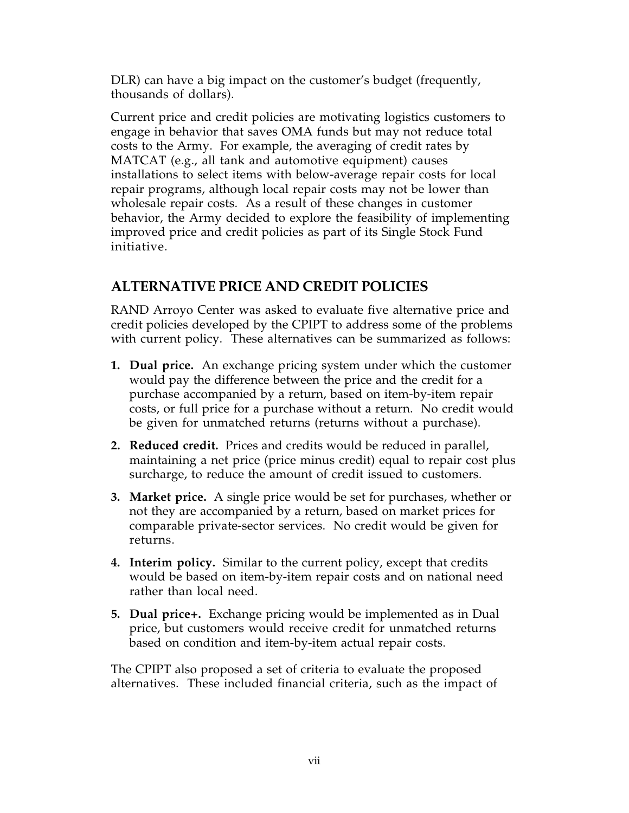DLR) can have a big impact on the customer's budget (frequently, thousands of dollars).

Current price and credit policies are motivating logistics customers to engage in behavior that saves OMA funds but may not reduce total costs to the Army. For example, the averaging of credit rates by MATCAT (e.g., all tank and automotive equipment) causes installations to select items with below-average repair costs for local repair programs, although local repair costs may not be lower than wholesale repair costs. As a result of these changes in customer behavior, the Army decided to explore the feasibility of implementing improved price and credit policies as part of its Single Stock Fund initiative.

#### **ALTERNATIVE PRICE AND CREDIT POLICIES**

RAND Arroyo Center was asked to evaluate five alternative price and credit policies developed by the CPIPT to address some of the problems with current policy. These alternatives can be summarized as follows:

- **1. Dual price.** An exchange pricing system under which the customer would pay the difference between the price and the credit for a purchase accompanied by a return, based on item-by-item repair costs, or full price for a purchase without a return. No credit would be given for unmatched returns (returns without a purchase).
- **2. Reduced credit.** Prices and credits would be reduced in parallel, maintaining a net price (price minus credit) equal to repair cost plus surcharge, to reduce the amount of credit issued to customers.
- **3. Market price.** A single price would be set for purchases, whether or not they are accompanied by a return, based on market prices for comparable private-sector services. No credit would be given for returns.
- **4. Interim policy.** Similar to the current policy, except that credits would be based on item-by-item repair costs and on national need rather than local need.
- **5. Dual price+.** Exchange pricing would be implemented as in Dual price, but customers would receive credit for unmatched returns based on condition and item-by-item actual repair costs.

The CPIPT also proposed a set of criteria to evaluate the proposed alternatives. These included financial criteria, such as the impact of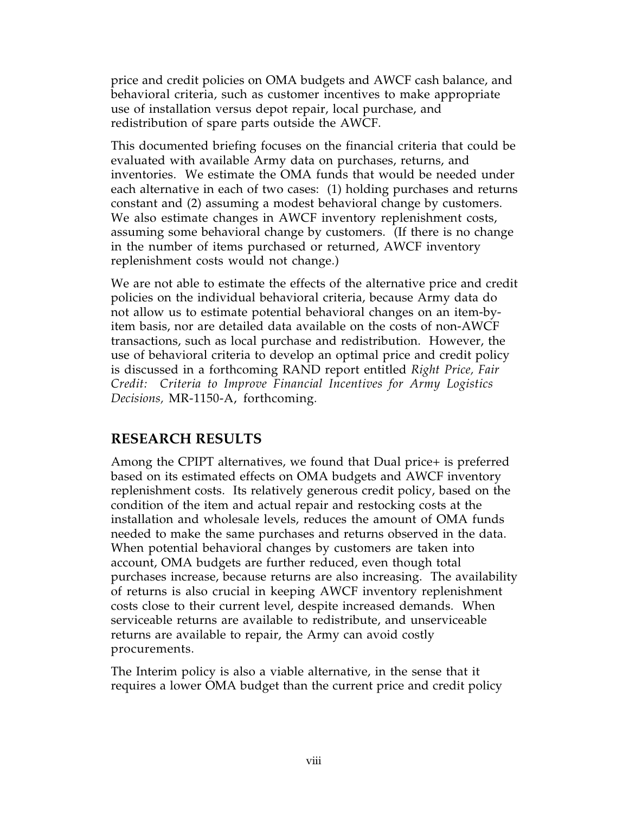price and credit policies on OMA budgets and AWCF cash balance, and behavioral criteria, such as customer incentives to make appropriate use of installation versus depot repair, local purchase, and redistribution of spare parts outside the AWCF.

This documented briefing focuses on the financial criteria that could be evaluated with available Army data on purchases, returns, and inventories. We estimate the OMA funds that would be needed under each alternative in each of two cases: (1) holding purchases and returns constant and (2) assuming a modest behavioral change by customers. We also estimate changes in AWCF inventory replenishment costs, assuming some behavioral change by customers. (If there is no change in the number of items purchased or returned, AWCF inventory replenishment costs would not change.)

We are not able to estimate the effects of the alternative price and credit policies on the individual behavioral criteria, because Army data do not allow us to estimate potential behavioral changes on an item-byitem basis, nor are detailed data available on the costs of non-AWCF transactions, such as local purchase and redistribution. However, the use of behavioral criteria to develop an optimal price and credit policy is discussed in a forthcoming RAND report entitled *Right Price, Fair Credit: Criteria to Improve Financial Incentives for Army Logistics Decisions,* MR-1150-A, forthcoming*.*

#### **RESEARCH RESULTS**

Among the CPIPT alternatives, we found that Dual price+ is preferred based on its estimated effects on OMA budgets and AWCF inventory replenishment costs. Its relatively generous credit policy, based on the condition of the item and actual repair and restocking costs at the installation and wholesale levels, reduces the amount of OMA funds needed to make the same purchases and returns observed in the data. When potential behavioral changes by customers are taken into account, OMA budgets are further reduced, even though total purchases increase, because returns are also increasing. The availability of returns is also crucial in keeping AWCF inventory replenishment costs close to their current level, despite increased demands. When serviceable returns are available to redistribute, and unserviceable returns are available to repair, the Army can avoid costly procurements.

The Interim policy is also a viable alternative, in the sense that it requires a lower OMA budget than the current price and credit policy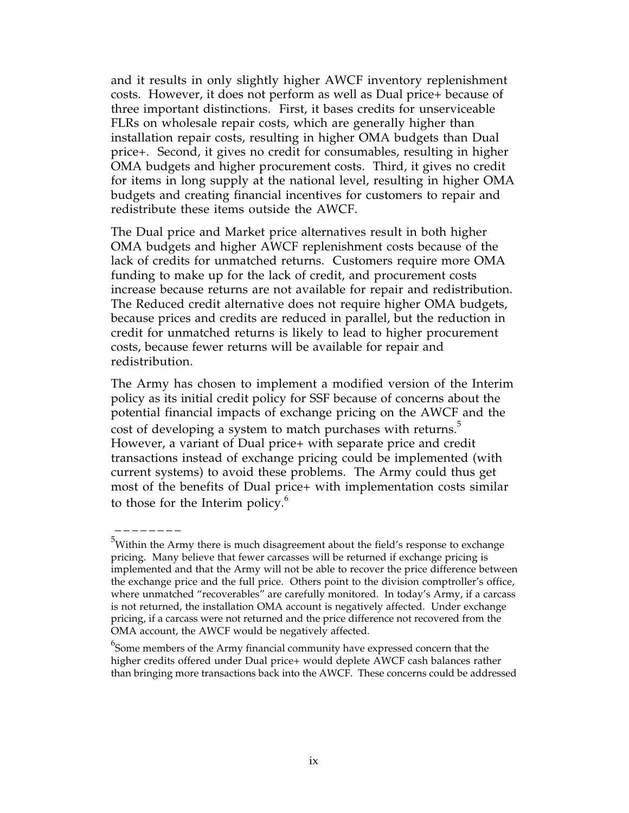and it results in only slightly higher AWCF inventory replenishment costs. However, it does not perform as well as Dual price+ because of three important distinctions. First, it bases credits for unserviceable FLRs on wholesale repair costs, which are generally higher than installation repair costs, resulting in higher OMA budgets than Dual price+. Second, it gives no credit for consumables, resulting in higher OMA budgets and higher procurement costs. Third, it gives no credit for items in long supply at the national level, resulting in higher OMA budgets and creating financial incentives for customers to repair and redistribute these items outside the AWCF.

The Dual price and Market price alternatives result in both higher OMA budgets and higher AWCF replenishment costs because of the lack of credits for unmatched returns. Customers require more OMA funding to make up for the lack of credit, and procurement costs increase because returns are not available for repair and redistribution. The Reduced credit alternative does not require higher OMA budgets, because prices and credits are reduced in parallel, but the reduction in credit for unmatched returns is likely to lead to higher procurement costs, because fewer returns will be available for repair and redistribution.

The Army has chosen to implement a modified version of the Interim policy as its initial credit policy for SSF because of concerns about the potential financial impacts of exchange pricing on the AWCF and the cost of developing a system to match purchases with returns.<sup>5</sup> However, a variant of Dual price+ with separate price and credit transactions instead of exchange pricing could be implemented (with current systems) to avoid these problems. The Army could thus get most of the benefits of Dual price+ with implementation costs similar to those for the Interim policy.<sup>6</sup>

 $^5$ Within the Army there is much disagreement about the field's response to exchange pricing. Many believe that fewer carcasses will be returned if exchange pricing is implemented and that the Army will not be able to recover the price difference between the exchange price and the full price. Others point to the division comptroller's office, where unmatched "recoverables" are carefully monitored. In today's Army, if a carcass is not returned, the installation OMA account is negatively affected. Under exchange pricing, if a carcass were not returned and the price difference not recovered from the OMA account, the AWCF would be negatively affected.

 $^6$ Some members of the Army financial community have expressed concern that the higher credits offered under Dual price+ would deplete AWCF cash balances rather than bringing more transactions back into the AWCF. These concerns could be addressed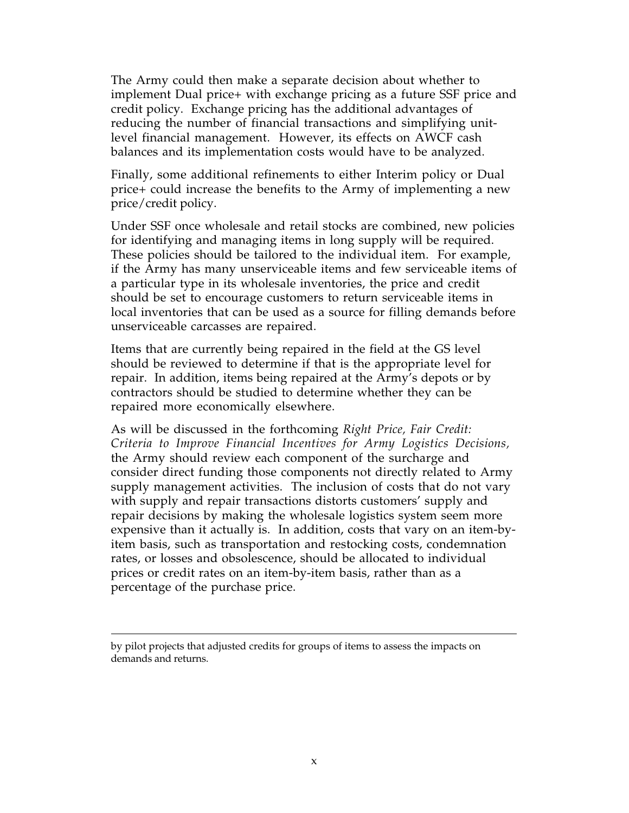The Army could then make a separate decision about whether to implement Dual price+ with exchange pricing as a future SSF price and credit policy. Exchange pricing has the additional advantages of reducing the number of financial transactions and simplifying unitlevel financial management. However, its effects on AWCF cash balances and its implementation costs would have to be analyzed.

Finally, some additional refinements to either Interim policy or Dual price+ could increase the benefits to the Army of implementing a new price/credit policy.

Under SSF once wholesale and retail stocks are combined, new policies for identifying and managing items in long supply will be required. These policies should be tailored to the individual item. For example, if the Army has many unserviceable items and few serviceable items of a particular type in its wholesale inventories, the price and credit should be set to encourage customers to return serviceable items in local inventories that can be used as a source for filling demands before unserviceable carcasses are repaired.

Items that are currently being repaired in the field at the GS level should be reviewed to determine if that is the appropriate level for repair. In addition, items being repaired at the Army's depots or by contractors should be studied to determine whether they can be repaired more economically elsewhere.

As will be discussed in the forthcoming *Right Price, Fair Credit: Criteria to Improve Financial Incentives for Army Logistics Decisions,* the Army should review each component of the surcharge and consider direct funding those components not directly related to Army supply management activities. The inclusion of costs that do not vary with supply and repair transactions distorts customers' supply and repair decisions by making the wholesale logistics system seem more expensive than it actually is. In addition, costs that vary on an item-byitem basis, such as transportation and restocking costs, condemnation rates, or losses and obsolescence, should be allocated to individual prices or credit rates on an item-by-item basis, rather than as a percentage of the purchase price.

by pilot projects that adjusted credits for groups of items to assess the impacts on demands and returns.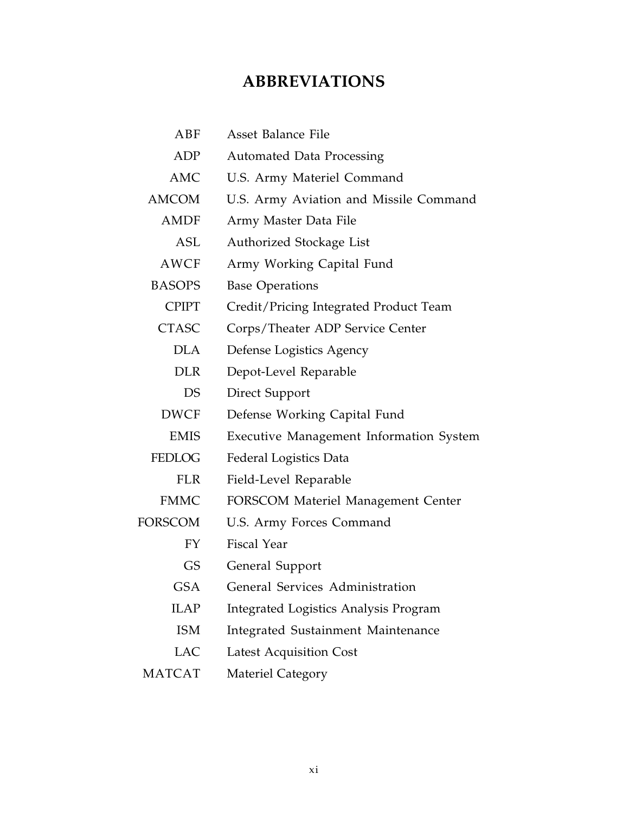# **ABBREVIATIONS**

| ABF           | Asset Balance File                           |
|---------------|----------------------------------------------|
| ADP           | <b>Automated Data Processing</b>             |
| <b>AMC</b>    | U.S. Army Materiel Command                   |
| <b>AMCOM</b>  | U.S. Army Aviation and Missile Command       |
| AMDF          | Army Master Data File                        |
| ASL           | Authorized Stockage List                     |
| AWCF          | Army Working Capital Fund                    |
| <b>BASOPS</b> | <b>Base Operations</b>                       |
| <b>CPIPT</b>  | Credit/Pricing Integrated Product Team       |
| <b>CTASC</b>  | Corps/Theater ADP Service Center             |
| <b>DLA</b>    | Defense Logistics Agency                     |
| <b>DLR</b>    | Depot-Level Reparable                        |
| DS            | Direct Support                               |
| <b>DWCF</b>   | Defense Working Capital Fund                 |
| <b>EMIS</b>   | Executive Management Information System      |
| <b>FEDLOG</b> | <b>Federal Logistics Data</b>                |
| <b>FLR</b>    | Field-Level Reparable                        |
| <b>FMMC</b>   | FORSCOM Materiel Management Center           |
| FORSCOM       | U.S. Army Forces Command                     |
| FY            | <b>Fiscal Year</b>                           |
| <b>GS</b>     | General Support                              |
| <b>GSA</b>    | General Services Administration              |
| <b>ILAP</b>   | <b>Integrated Logistics Analysis Program</b> |
| <b>ISM</b>    | Integrated Sustainment Maintenance           |
| <b>LAC</b>    | <b>Latest Acquisition Cost</b>               |
| <b>MATCAT</b> | <b>Materiel Category</b>                     |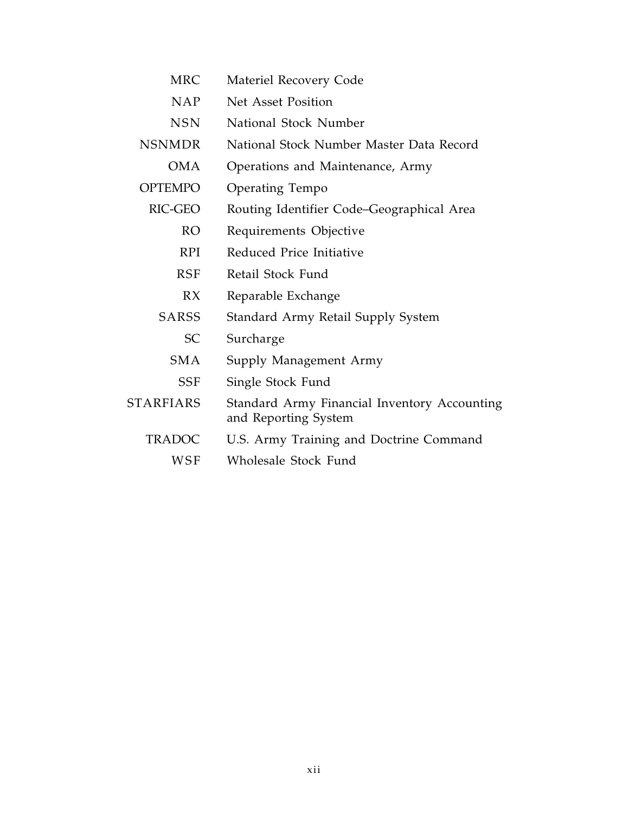| <b>MRC</b>       | Materiel Recovery Code                                               |
|------------------|----------------------------------------------------------------------|
| <b>NAP</b>       | Net Asset Position                                                   |
| <b>NSN</b>       | National Stock Number                                                |
| <b>NSNMDR</b>    | National Stock Number Master Data Record                             |
| <b>OMA</b>       | Operations and Maintenance, Army                                     |
| <b>OPTEMPO</b>   | Operating Tempo                                                      |
| RIC-GEO          | Routing Identifier Code-Geographical Area                            |
| RO.              | Requirements Objective                                               |
| <b>RPI</b>       | Reduced Price Initiative                                             |
| <b>RSF</b>       | Retail Stock Fund                                                    |
| RX               | Reparable Exchange                                                   |
| <b>SARSS</b>     | Standard Army Retail Supply System                                   |
| <b>SC</b>        | Surcharge                                                            |
| <b>SMA</b>       | Supply Management Army                                               |
| <b>SSF</b>       | Single Stock Fund                                                    |
| <b>STARFIARS</b> | Standard Army Financial Inventory Accounting<br>and Reporting System |
| <b>TRADOC</b>    | U.S. Army Training and Doctrine Command                              |
| <b>WSF</b>       | Wholesale Stock Fund                                                 |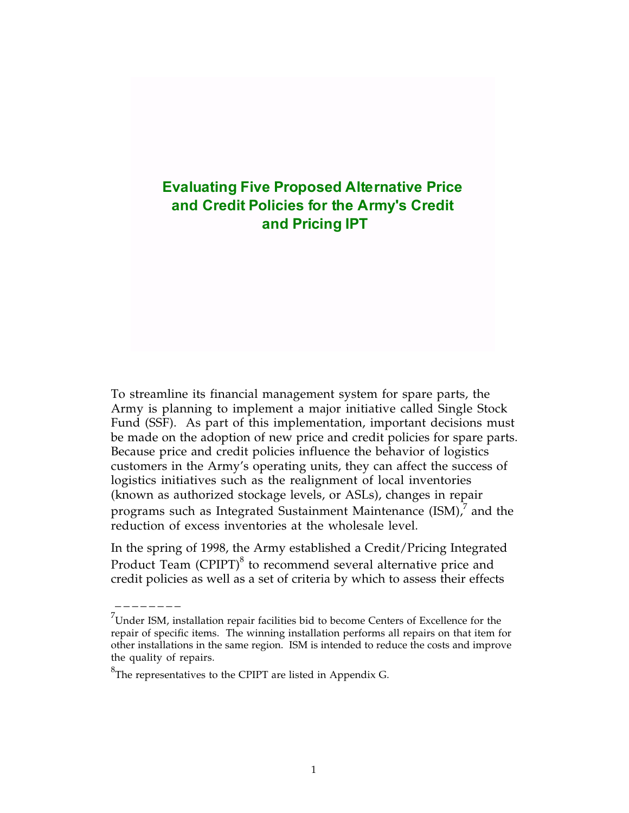### **Evaluating Five Proposed Alternative Price and Credit Policies for the Army's Credit and Pricing IPT**

To streamline its financial management system for spare parts, the Army is planning to implement a major initiative called Single Stock Fund (SSF). As part of this implementation, important decisions must be made on the adoption of new price and credit policies for spare parts. Because price and credit policies influence the behavior of logistics customers in the Army's operating units, they can affect the success of logistics initiatives such as the realignment of local inventories (known as authorized stockage levels, or ASLs), changes in repair programs such as Integrated Sustainment Maintenance (ISM), $^7$  and the reduction of excess inventories at the wholesale level.

In the spring of 1998, the Army established a Credit/Pricing Integrated Product Team (CPIPT) $^8$  to recommend several alternative price and credit policies as well as a set of criteria by which to assess their effects

 $^{7}$ Under ISM, installation repair facilities bid to become Centers of Excellence for the repair of specific items. The winning installation performs all repairs on that item for other installations in the same region. ISM is intended to reduce the costs and improve the quality of repairs.

 ${}^{8}$ The representatives to the CPIPT are listed in Appendix G.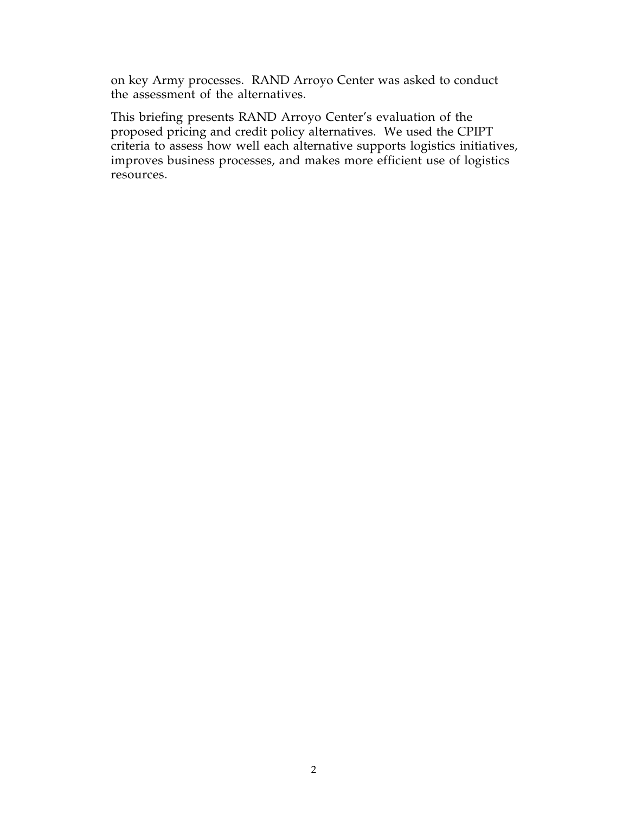on key Army processes. RAND Arroyo Center was asked to conduct the assessment of the alternatives.

This briefing presents RAND Arroyo Center's evaluation of the proposed pricing and credit policy alternatives. We used the CPIPT criteria to assess how well each alternative supports logistics initiatives, improves business processes, and makes more efficient use of logistics resources.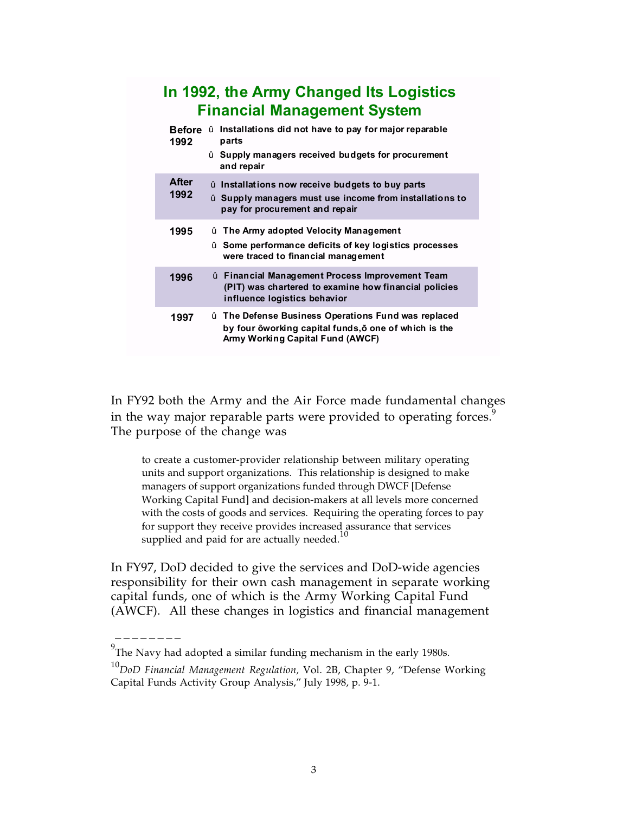## **In 1992, the Army Changed Its Logistics Financial Management System**

|               | <b>Before</b><br>1992 | û Installations did not have to pay for major reparable<br>parts                                                                               |
|---------------|-----------------------|------------------------------------------------------------------------------------------------------------------------------------------------|
|               |                       | û Supply managers received budgets for procurement<br>and repair                                                                               |
| After<br>1992 |                       | û Installations now receive budgets to buy parts<br>û Supply managers must use income from installations to<br>pay for procurement and repair  |
| 1995          |                       | û The Army adopted Velocity Management<br>û Some performance deficits of key logistics processes<br>were traced to financial management        |
| 1996          |                       | û Financial Management Process Improvement Team<br>(PIT) was chartered to examine how financial policies<br>influence logistics behavior       |
| 1997          |                       | û The Defense Business Operations Fund was replaced<br>by four ôworking capital funds, one of which is the<br>Army Working Capital Fund (AWCF) |

In FY92 both the Army and the Air Force made fundamental changes in the way major reparable parts were provided to operating forces.<sup>9</sup> The purpose of the change was

to create a customer-provider relationship between military operating units and support organizations. This relationship is designed to make managers of support organizations funded through DWCF [Defense Working Capital Fund] and decision-makers at all levels more concerned with the costs of goods and services. Requiring the operating forces to pay for support they receive provides increased assurance that services supplied and paid for are actually needed.<sup>10</sup>

In FY97, DoD decided to give the services and DoD-wide agencies responsibility for their own cash management in separate working capital funds, one of which is the Army Working Capital Fund (AWCF). All these changes in logistics and financial management

 $^{9}$ The Navy had adopted a similar funding mechanism in the early 1980s.

<sup>10</sup>*DoD Financial Management Regulation,* Vol. 2B, Chapter 9, "Defense Working Capital Funds Activity Group Analysis," July 1998, p. 9-1.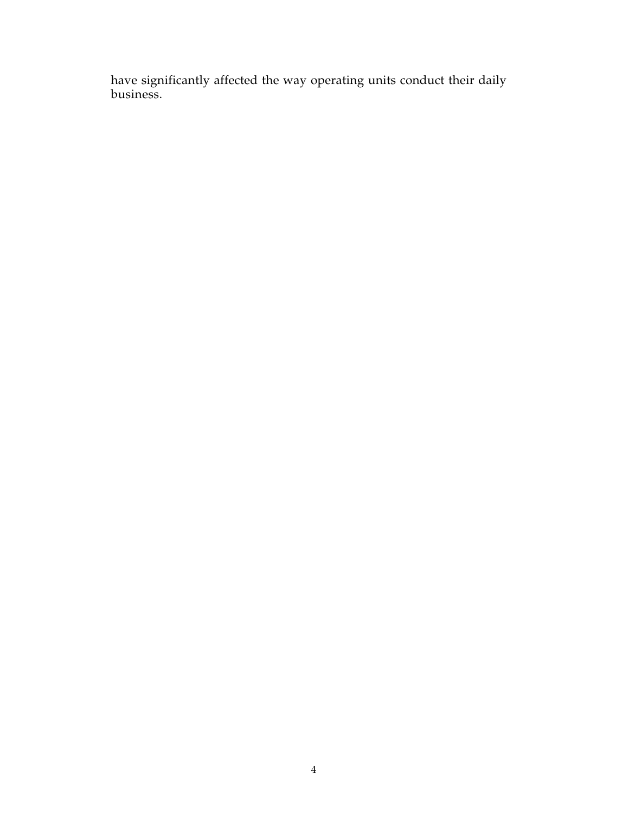have significantly affected the way operating units conduct their daily business.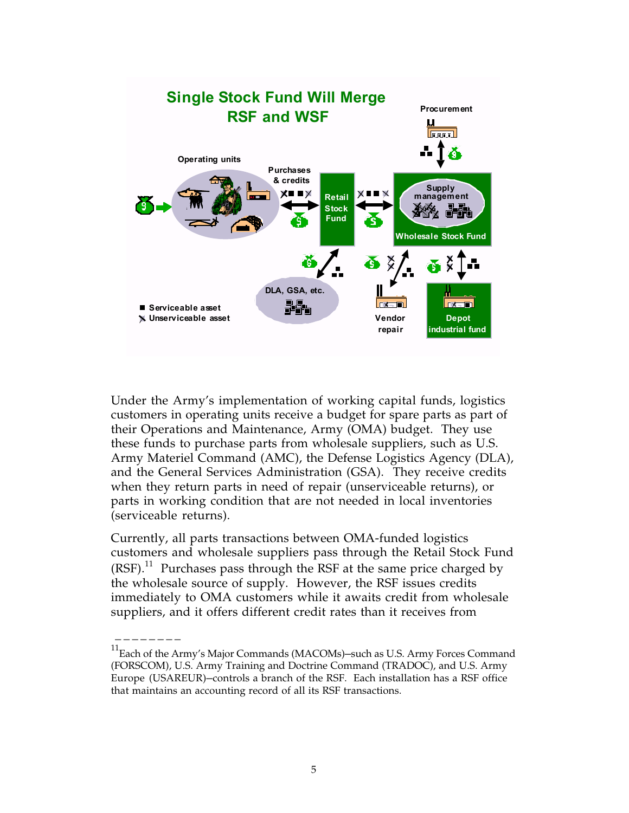

Under the Army's implementation of working capital funds, logistics customers in operating units receive a budget for spare parts as part of their Operations and Maintenance, Army (OMA) budget. They use these funds to purchase parts from wholesale suppliers, such as U.S. Army Materiel Command (AMC), the Defense Logistics Agency (DLA), and the General Services Administration (GSA). They receive credits when they return parts in need of repair (unserviceable returns), or parts in working condition that are not needed in local inventories (serviceable returns).

Currently, all parts transactions between OMA-funded logistics customers and wholesale suppliers pass through the Retail Stock Fund  $(RSF).$ <sup>11</sup> Purchases pass through the RSF at the same price charged by the wholesale source of supply. However, the RSF issues credits immediately to OMA customers while it awaits credit from wholesale suppliers, and it offers different credit rates than it receives from

<sup>&</sup>lt;sup>11</sup>Each of the Army's Major Commands (MACOMs)-such as U.S. Army Forces Command (FORSCOM), U.S. Army Training and Doctrine Command (TRADOC), and U.S. Army Europe (USAREUR)—controls a branch of the RSF. Each installation has a RSF office that maintains an accounting record of all its RSF transactions.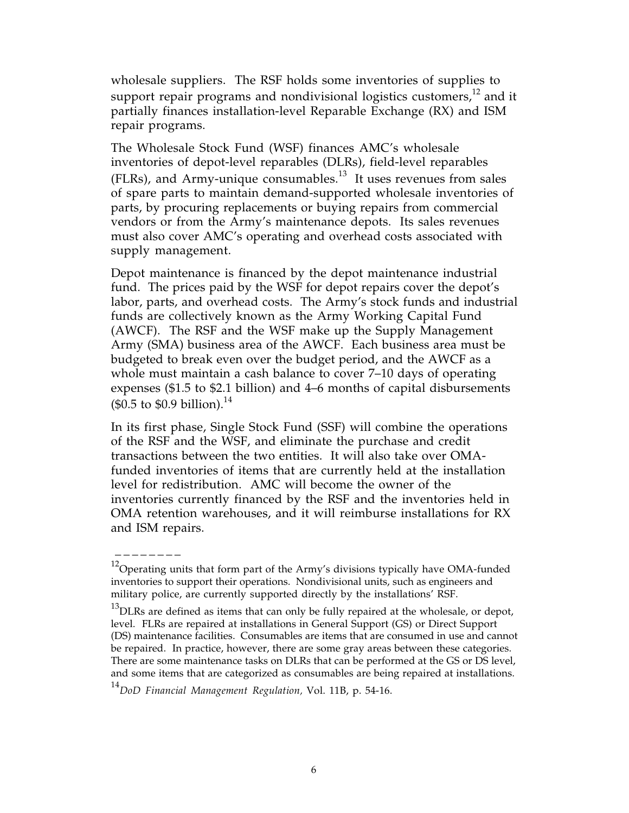wholesale suppliers. The RSF holds some inventories of supplies to support repair programs and nondivisional logistics customers, $12$  and it partially finances installation-level Reparable Exchange (RX) and ISM repair programs.

The Wholesale Stock Fund (WSF) finances AMC's wholesale inventories of depot-level reparables (DLRs), field-level reparables (FLRs), and Army-unique consumables.<sup>13</sup> It uses revenues from sales of spare parts to maintain demand-supported wholesale inventories of parts, by procuring replacements or buying repairs from commercial vendors or from the Army's maintenance depots. Its sales revenues must also cover AMC's operating and overhead costs associated with supply management.

Depot maintenance is financed by the depot maintenance industrial fund. The prices paid by the WSF for depot repairs cover the depot's labor, parts, and overhead costs. The Army's stock funds and industrial funds are collectively known as the Army Working Capital Fund (AWCF). The RSF and the WSF make up the Supply Management Army (SMA) business area of the AWCF. Each business area must be budgeted to break even over the budget period, and the AWCF as a whole must maintain a cash balance to cover 7–10 days of operating expenses (\$1.5 to \$2.1 billion) and 4–6 months of capital disbursements  $($ \$0.5 to \$0.9 billion).<sup>14</sup>

In its first phase, Single Stock Fund (SSF) will combine the operations of the RSF and the WSF, and eliminate the purchase and credit transactions between the two entities. It will also take over OMAfunded inventories of items that are currently held at the installation level for redistribution. AMC will become the owner of the inventories currently financed by the RSF and the inventories held in OMA retention warehouses, and it will reimburse installations for RX and ISM repairs.

 $12$ Operating units that form part of the Army's divisions typically have OMA-funded inventories to support their operations. Nondivisional units, such as engineers and military police, are currently supported directly by the installations' RSF.

 $^{13}$ DLRs are defined as items that can only be fully repaired at the wholesale, or depot, level. FLRs are repaired at installations in General Support (GS) or Direct Support (DS) maintenance facilities. Consumables are items that are consumed in use and cannot be repaired. In practice, however, there are some gray areas between these categories. There are some maintenance tasks on DLRs that can be performed at the GS or DS level, and some items that are categorized as consumables are being repaired at installations.

<sup>14</sup>*DoD Financial Management Regulation,* Vol. 11B, p. 54-16.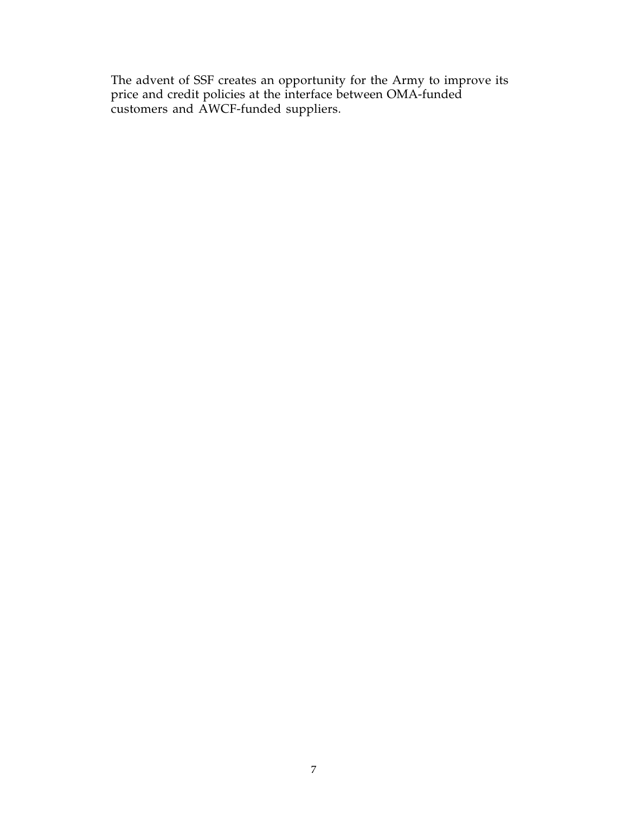The advent of SSF creates an opportunity for the Army to improve its price and credit policies at the interface between OMA-funded customers and AWCF-funded suppliers.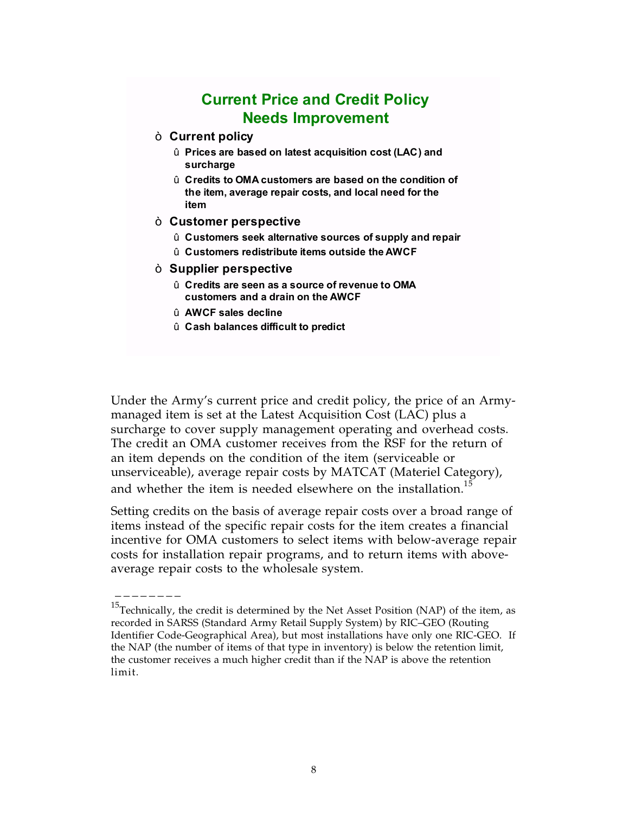## **Current Price and Credit Policy Needs Improvement**

#### ò **Current policy**

- û **Prices are based on latest acquisition cost (LAC) and surcharge**
- û **Credits to OMA customers are based on the condition of the item, average repair costs, and local need for the item**
- ò **Customer perspective**
	- û **Customers seek alternative sources of supply and repair**
	- û **Customers redistribute items outside the AWCF**
- ò **Supplier perspective**
	- û **Credits are seen as a source of revenue to OMA customers and a drain on the AWCF**
	- û **AWCF sales decline**

\_\_\_\_\_\_\_\_

û **Cash balances difficult to predict**

Under the Army's current price and credit policy, the price of an Armymanaged item is set at the Latest Acquisition Cost (LAC) plus a surcharge to cover supply management operating and overhead costs. The credit an OMA customer receives from the RSF for the return of an item depends on the condition of the item (serviceable or unserviceable), average repair costs by MATCAT (Materiel Category), and whether the item is needed elsewhere on the installation.<sup>15</sup>

Setting credits on the basis of average repair costs over a broad range of items instead of the specific repair costs for the item creates a financial incentive for OMA customers to select items with below-average repair costs for installation repair programs, and to return items with aboveaverage repair costs to the wholesale system.

 $^{15}$ Technically, the credit is determined by the Net Asset Position (NAP) of the item, as recorded in SARSS (Standard Army Retail Supply System) by RIC–GEO (Routing Identifier Code-Geographical Area), but most installations have only one RIC-GEO. If the NAP (the number of items of that type in inventory) is below the retention limit, the customer receives a much higher credit than if the NAP is above the retention limit.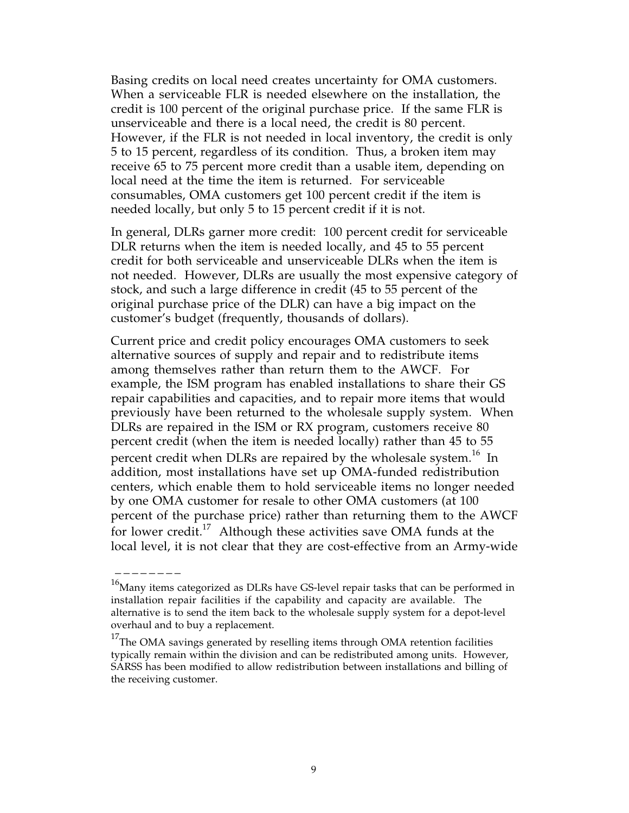Basing credits on local need creates uncertainty for OMA customers. When a serviceable FLR is needed elsewhere on the installation, the credit is 100 percent of the original purchase price. If the same FLR is unserviceable and there is a local need, the credit is 80 percent. However, if the FLR is not needed in local inventory, the credit is only 5 to 15 percent, regardless of its condition. Thus, a broken item may receive 65 to 75 percent more credit than a usable item, depending on local need at the time the item is returned. For serviceable consumables, OMA customers get 100 percent credit if the item is needed locally, but only 5 to 15 percent credit if it is not.

In general, DLRs garner more credit: 100 percent credit for serviceable DLR returns when the item is needed locally, and 45 to 55 percent credit for both serviceable and unserviceable DLRs when the item is not needed. However, DLRs are usually the most expensive category of stock, and such a large difference in credit (45 to 55 percent of the original purchase price of the DLR) can have a big impact on the customer's budget (frequently, thousands of dollars).

Current price and credit policy encourages OMA customers to seek alternative sources of supply and repair and to redistribute items among themselves rather than return them to the AWCF. For example, the ISM program has enabled installations to share their GS repair capabilities and capacities, and to repair more items that would previously have been returned to the wholesale supply system. When DLRs are repaired in the ISM or RX program, customers receive 80 percent credit (when the item is needed locally) rather than 45 to 55 percent credit when DLRs are repaired by the wholesale system.<sup>16</sup> In addition, most installations have set up OMA-funded redistribution centers, which enable them to hold serviceable items no longer needed by one OMA customer for resale to other OMA customers (at 100 percent of the purchase price) rather than returning them to the AWCF for lower credit.<sup>17</sup> Although these activities save OMA funds at the local level, it is not clear that they are cost-effective from an Army-wide

 $16$ Many items categorized as DLRs have GS-level repair tasks that can be performed in installation repair facilities if the capability and capacity are available. The alternative is to send the item back to the wholesale supply system for a depot-level overhaul and to buy a replacement.

 $17$ The OMA savings generated by reselling items through OMA retention facilities typically remain within the division and can be redistributed among units. However, SARSS has been modified to allow redistribution between installations and billing of the receiving customer.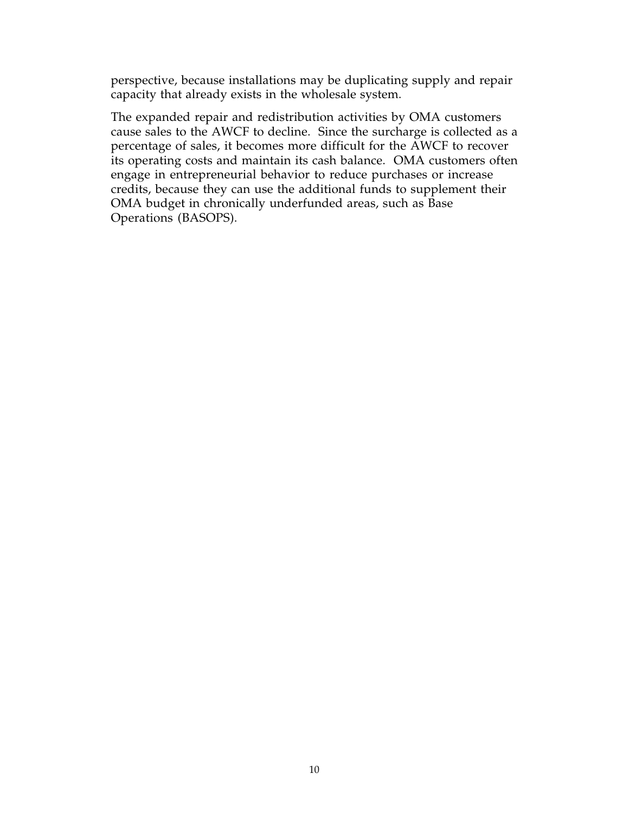perspective, because installations may be duplicating supply and repair capacity that already exists in the wholesale system.

The expanded repair and redistribution activities by OMA customers cause sales to the AWCF to decline. Since the surcharge is collected as a percentage of sales, it becomes more difficult for the AWCF to recover its operating costs and maintain its cash balance. OMA customers often engage in entrepreneurial behavior to reduce purchases or increase credits, because they can use the additional funds to supplement their OMA budget in chronically underfunded areas, such as Base Operations (BASOPS).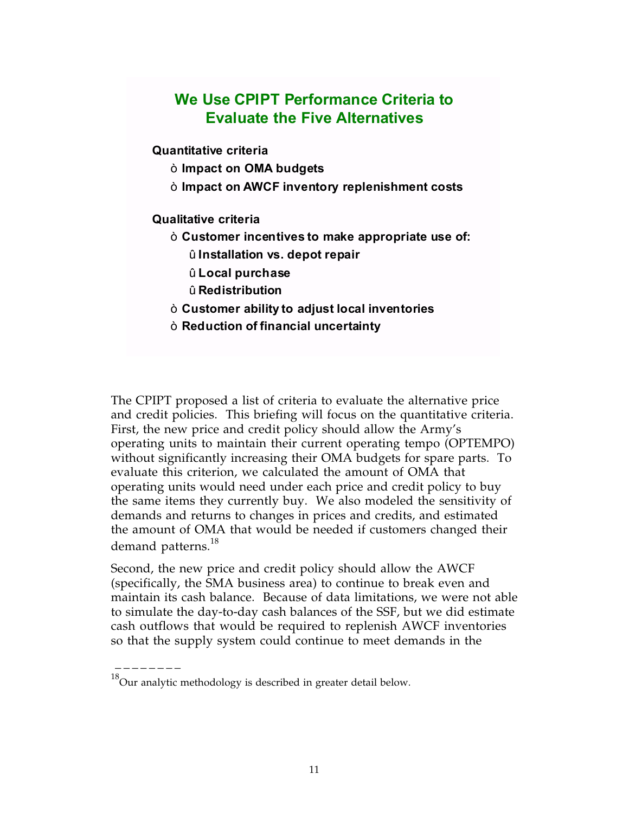## **We Use CPIPT Performance Criteria to Evaluate the Five Alternatives**

**Quantitative criteria**

- ò **Impact on OMA budgets**
- ò **Impact on AWCF inventory replenishment costs**

#### **Qualitative criteria**

- ò **Customer incentives to make appropriate use of:** û **Installation vs. depot repair**
	- û **Local purchase**
	- û **Redistribution**
- ò **Customer ability to adjust local inventories**
- ò **Reduction of financial uncertainty**

The CPIPT proposed a list of criteria to evaluate the alternative price and credit policies. This briefing will focus on the quantitative criteria. First, the new price and credit policy should allow the Army's operating units to maintain their current operating tempo (OPTEMPO) without significantly increasing their OMA budgets for spare parts. To evaluate this criterion, we calculated the amount of OMA that operating units would need under each price and credit policy to buy the same items they currently buy. We also modeled the sensitivity of demands and returns to changes in prices and credits, and estimated the amount of OMA that would be needed if customers changed their demand patterns.<sup>18</sup>

Second, the new price and credit policy should allow the AWCF (specifically, the SMA business area) to continue to break even and maintain its cash balance. Because of data limitations, we were not able to simulate the day-to-day cash balances of the SSF, but we did estimate cash outflows that would be required to replenish AWCF inventories so that the supply system could continue to meet demands in the

 $^{18}$ Our analytic methodology is described in greater detail below.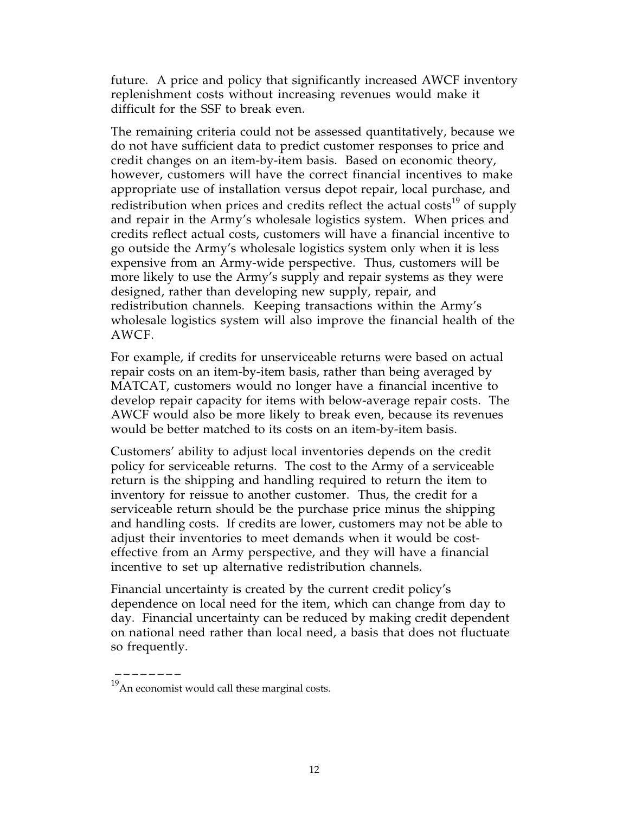future. A price and policy that significantly increased AWCF inventory replenishment costs without increasing revenues would make it difficult for the SSF to break even.

The remaining criteria could not be assessed quantitatively, because we do not have sufficient data to predict customer responses to price and credit changes on an item-by-item basis. Based on economic theory, however, customers will have the correct financial incentives to make appropriate use of installation versus depot repair, local purchase, and redistribution when prices and credits reflect the actual  $costs<sup>19</sup>$  of supply and repair in the Army's wholesale logistics system. When prices and credits reflect actual costs, customers will have a financial incentive to go outside the Army's wholesale logistics system only when it is less expensive from an Army-wide perspective. Thus, customers will be more likely to use the Army's supply and repair systems as they were designed, rather than developing new supply, repair, and redistribution channels. Keeping transactions within the Army's wholesale logistics system will also improve the financial health of the AWCF.

For example, if credits for unserviceable returns were based on actual repair costs on an item-by-item basis, rather than being averaged by MATCAT, customers would no longer have a financial incentive to develop repair capacity for items with below-average repair costs. The AWCF would also be more likely to break even, because its revenues would be better matched to its costs on an item-by-item basis.

Customers' ability to adjust local inventories depends on the credit policy for serviceable returns. The cost to the Army of a serviceable return is the shipping and handling required to return the item to inventory for reissue to another customer. Thus, the credit for a serviceable return should be the purchase price minus the shipping and handling costs. If credits are lower, customers may not be able to adjust their inventories to meet demands when it would be costeffective from an Army perspective, and they will have a financial incentive to set up alternative redistribution channels.

Financial uncertainty is created by the current credit policy's dependence on local need for the item, which can change from day to day. Financial uncertainty can be reduced by making credit dependent on national need rather than local need, a basis that does not fluctuate so frequently.

 $^{19}$  An economist would call these marginal costs.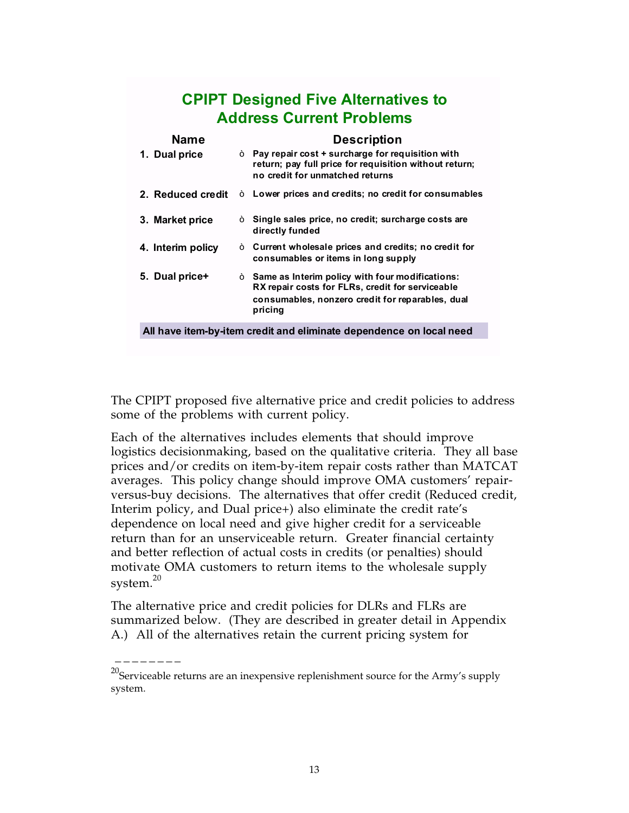## **CPIPT Designed Five Alternatives to Address Current Problems**

| <b>Name</b>       |   | <b>Description</b>                                                                                                                                                          |
|-------------------|---|-----------------------------------------------------------------------------------------------------------------------------------------------------------------------------|
| 1. Dual price     | Ò | Pay repair cost + surcharge for requisition with<br>return; pay full price for requisition without return;<br>no credit for unmatched returns                               |
| 2. Reduced credit | Ò | Lower prices and credits; no credit for consumables                                                                                                                         |
| 3. Market price   | Ò | Single sales price, no credit; surcharge costs are<br>directly funded                                                                                                       |
| 4. Interim policy | Ò | Current wholesale prices and credits; no credit for<br>consumables or items in long supply                                                                                  |
| 5. Dual price+    |   | $\delta$ Same as Interim policy with four modifications:<br>RX repair costs for FLRs, credit for serviceable<br>consumables, nonzero credit for reparables, dual<br>pricing |
|                   |   |                                                                                                                                                                             |

**All have item-by-item credit and eliminate dependence on local need**

The CPIPT proposed five alternative price and credit policies to address some of the problems with current policy.

Each of the alternatives includes elements that should improve logistics decisionmaking, based on the qualitative criteria. They all base prices and/or credits on item-by-item repair costs rather than MATCAT averages. This policy change should improve OMA customers' repairversus-buy decisions. The alternatives that offer credit (Reduced credit, Interim policy, and Dual price+) also eliminate the credit rate's dependence on local need and give higher credit for a serviceable return than for an unserviceable return. Greater financial certainty and better reflection of actual costs in credits (or penalties) should motivate OMA customers to return items to the wholesale supply system. $20$ 

The alternative price and credit policies for DLRs and FLRs are summarized below. (They are described in greater detail in Appendix A.) All of the alternatives retain the current pricing system for

 $20$ Serviceable returns are an inexpensive replenishment source for the Army's supply system.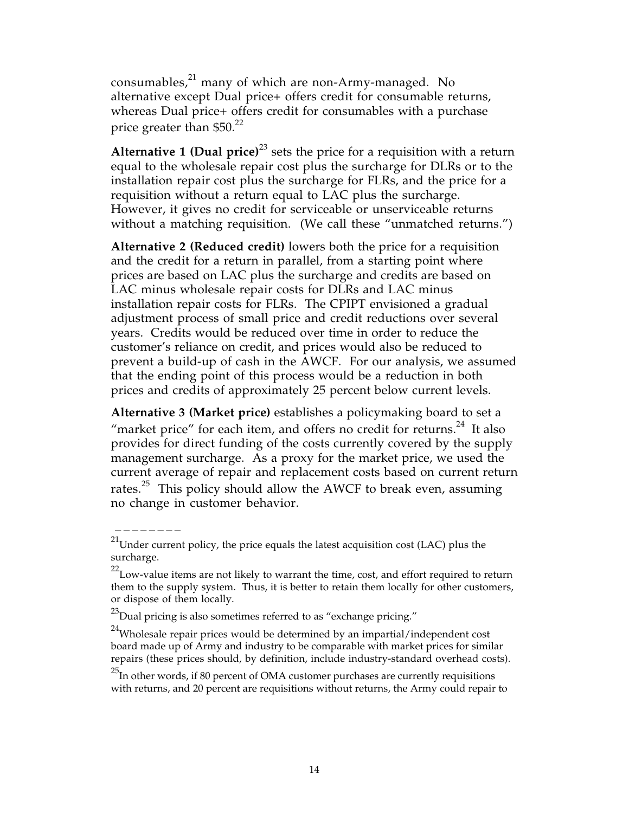consumables, $^{21}$  many of which are non-Army-managed. No alternative except Dual price+ offers credit for consumable returns, whereas Dual price+ offers credit for consumables with a purchase price greater than  $$50.<sup>22</sup>$ 

**Alternative 1 (Dual price)**23 sets the price for a requisition with a return equal to the wholesale repair cost plus the surcharge for DLRs or to the installation repair cost plus the surcharge for FLRs, and the price for a requisition without a return equal to LAC plus the surcharge. However, it gives no credit for serviceable or unserviceable returns without a matching requisition. (We call these "unmatched returns.")

**Alternative 2 (Reduced credit)** lowers both the price for a requisition and the credit for a return in parallel, from a starting point where prices are based on LAC plus the surcharge and credits are based on LAC minus wholesale repair costs for DLRs and LAC minus installation repair costs for FLRs. The CPIPT envisioned a gradual adjustment process of small price and credit reductions over several years. Credits would be reduced over time in order to reduce the customer's reliance on credit, and prices would also be reduced to prevent a build-up of cash in the AWCF. For our analysis, we assumed that the ending point of this process would be a reduction in both prices and credits of approximately 25 percent below current levels.

**Alternative 3 (Market price)** establishes a policymaking board to set a "market price" for each item, and offers no credit for returns. $^{24}$  It also provides for direct funding of the costs currently covered by the supply management surcharge. As a proxy for the market price, we used the current average of repair and replacement costs based on current return rates.<sup>25</sup> This policy should allow the AWCF to break even, assuming no change in customer behavior.

 $^{21}$ Under current policy, the price equals the latest acquisition cost (LAC) plus the surcharge.

 $22$ Low-value items are not likely to warrant the time, cost, and effort required to return them to the supply system. Thus, it is better to retain them locally for other customers, or dispose of them locally.

 $^{23}$ Dual pricing is also sometimes referred to as "exchange pricing."

 $24$ Wholesale repair prices would be determined by an impartial/independent cost board made up of Army and industry to be comparable with market prices for similar repairs (these prices should, by definition, include industry-standard overhead costs).

 $^{25}$ In other words, if 80 percent of OMA customer purchases are currently requisitions with returns, and 20 percent are requisitions without returns, the Army could repair to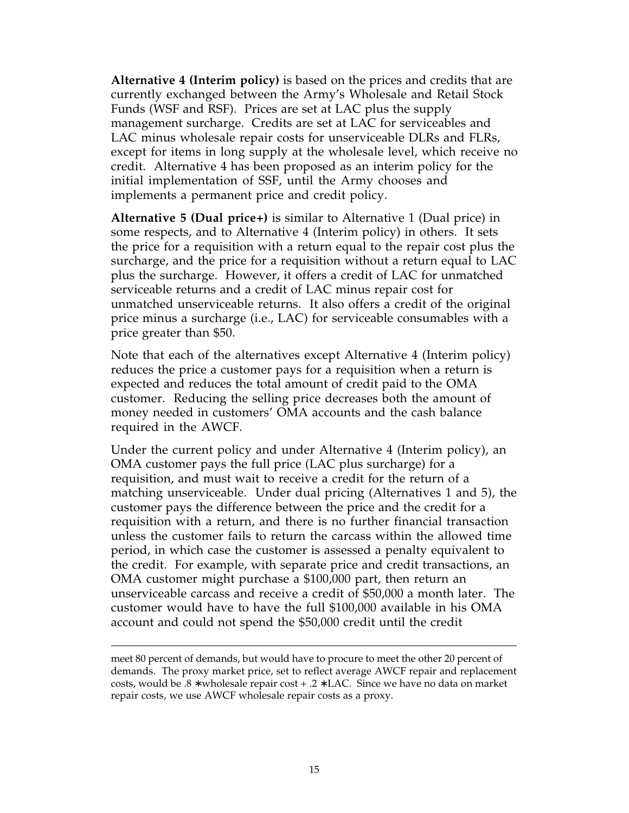**Alternative 4 (Interim policy)** is based on the prices and credits that are currently exchanged between the Army's Wholesale and Retail Stock Funds (WSF and RSF). Prices are set at LAC plus the supply management surcharge. Credits are set at LAC for serviceables and LAC minus wholesale repair costs for unserviceable DLRs and FLRs, except for items in long supply at the wholesale level, which receive no credit. Alternative 4 has been proposed as an interim policy for the initial implementation of SSF, until the Army chooses and implements a permanent price and credit policy.

**Alternative 5 (Dual price+)** is similar to Alternative 1 (Dual price) in some respects, and to Alternative 4 (Interim policy) in others. It sets the price for a requisition with a return equal to the repair cost plus the surcharge, and the price for a requisition without a return equal to LAC plus the surcharge. However, it offers a credit of LAC for unmatched serviceable returns and a credit of LAC minus repair cost for unmatched unserviceable returns. It also offers a credit of the original price minus a surcharge (i.e., LAC) for serviceable consumables with a price greater than \$50.

Note that each of the alternatives except Alternative 4 (Interim policy) reduces the price a customer pays for a requisition when a return is expected and reduces the total amount of credit paid to the OMA customer. Reducing the selling price decreases both the amount of money needed in customers' OMA accounts and the cash balance required in the AWCF.

Under the current policy and under Alternative 4 (Interim policy), an OMA customer pays the full price (LAC plus surcharge) for a requisition, and must wait to receive a credit for the return of a matching unserviceable. Under dual pricing (Alternatives 1 and 5), the customer pays the difference between the price and the credit for a requisition with a return, and there is no further financial transaction unless the customer fails to return the carcass within the allowed time period, in which case the customer is assessed a penalty equivalent to the credit. For example, with separate price and credit transactions, an OMA customer might purchase a \$100,000 part, then return an unserviceable carcass and receive a credit of \$50,000 a month later. The customer would have to have the full \$100,000 available in his OMA account and could not spend the \$50,000 credit until the credit

meet 80 percent of demands, but would have to procure to meet the other 20 percent of demands. The proxy market price, set to reflect average AWCF repair and replacement costs, would be .8 ∗ wholesale repair cost + .2 ∗ LAC. Since we have no data on market repair costs, we use AWCF wholesale repair costs as a proxy.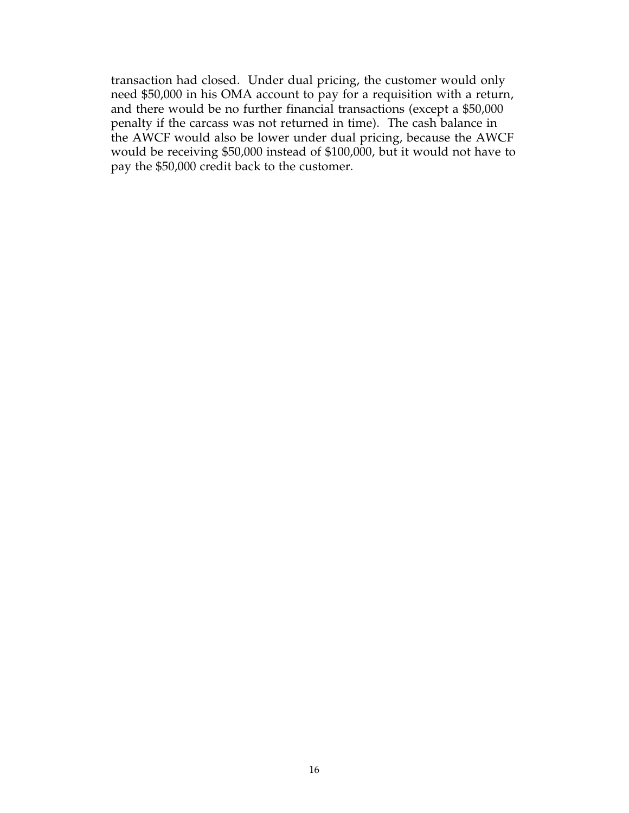transaction had closed. Under dual pricing, the customer would only need \$50,000 in his OMA account to pay for a requisition with a return, and there would be no further financial transactions (except a \$50,000 penalty if the carcass was not returned in time). The cash balance in the AWCF would also be lower under dual pricing, because the AWCF would be receiving \$50,000 instead of \$100,000, but it would not have to pay the \$50,000 credit back to the customer.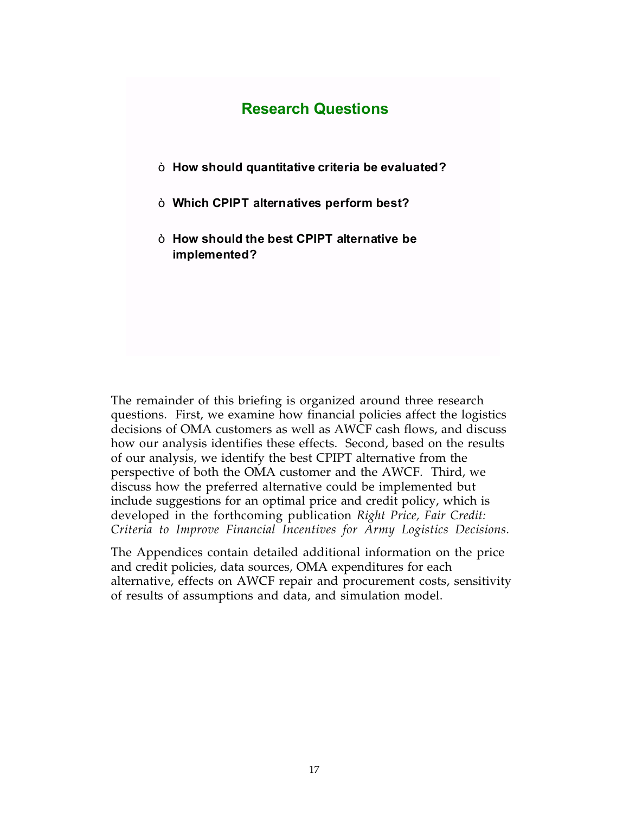### **Research Questions**

- ò **How should quantitative criteria be evaluated?**
- ò **Which CPIPT alternatives perform best?**
- ò **How should the best CPIPT alternative be implemented?**

The remainder of this briefing is organized around three research questions. First, we examine how financial policies affect the logistics decisions of OMA customers as well as AWCF cash flows, and discuss how our analysis identifies these effects. Second, based on the results of our analysis, we identify the best CPIPT alternative from the perspective of both the OMA customer and the AWCF. Third, we discuss how the preferred alternative could be implemented but include suggestions for an optimal price and credit policy, which is developed in the forthcoming publication *Right Price, Fair Credit: Criteria to Improve Financial Incentives for Army Logistics Decisions.*

The Appendices contain detailed additional information on the price and credit policies, data sources, OMA expenditures for each alternative, effects on AWCF repair and procurement costs, sensitivity of results of assumptions and data, and simulation model.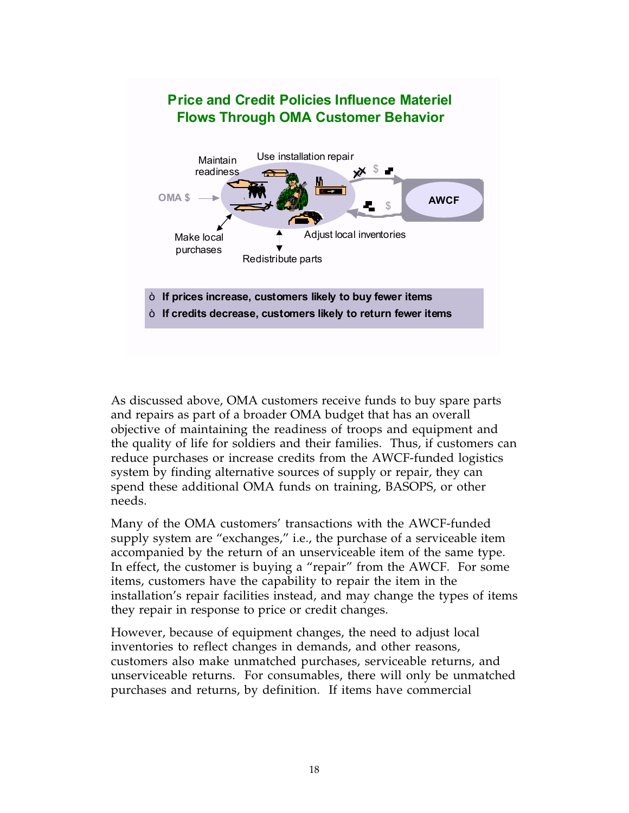

As discussed above, OMA customers receive funds to buy spare parts and repairs as part of a broader OMA budget that has an overall objective of maintaining the readiness of troops and equipment and the quality of life for soldiers and their families. Thus, if customers can reduce purchases or increase credits from the AWCF-funded logistics system by finding alternative sources of supply or repair, they can spend these additional OMA funds on training, BASOPS, or other needs.

Many of the OMA customers' transactions with the AWCF-funded supply system are "exchanges," i.e., the purchase of a serviceable item accompanied by the return of an unserviceable item of the same type. In effect, the customer is buying a "repair" from the AWCF. For some items, customers have the capability to repair the item in the installation's repair facilities instead, and may change the types of items they repair in response to price or credit changes.

However, because of equipment changes, the need to adjust local inventories to reflect changes in demands, and other reasons, customers also make unmatched purchases, serviceable returns, and unserviceable returns. For consumables, there will only be unmatched purchases and returns, by definition. If items have commercial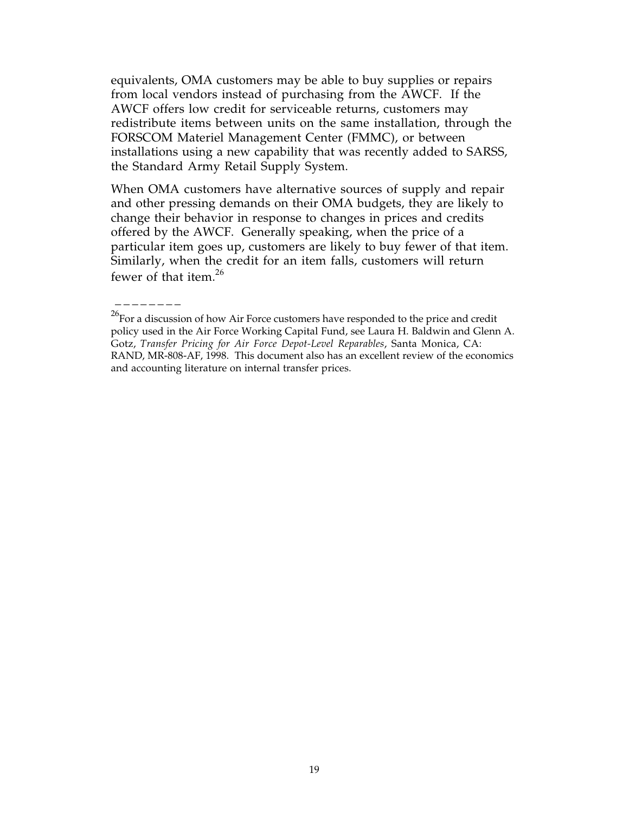equivalents, OMA customers may be able to buy supplies or repairs from local vendors instead of purchasing from the AWCF. If the AWCF offers low credit for serviceable returns, customers may redistribute items between units on the same installation, through the FORSCOM Materiel Management Center (FMMC), or between installations using a new capability that was recently added to SARSS, the Standard Army Retail Supply System.

When OMA customers have alternative sources of supply and repair and other pressing demands on their OMA budgets, they are likely to change their behavior in response to changes in prices and credits offered by the AWCF. Generally speaking, when the price of a particular item goes up, customers are likely to buy fewer of that item. Similarly, when the credit for an item falls, customers will return fewer of that item.<sup>26</sup>

 $26$ For a discussion of how Air Force customers have responded to the price and credit policy used in the Air Force Working Capital Fund, see Laura H. Baldwin and Glenn A. Gotz, *Transfer Pricing for Air Force Depot-Level Reparables*, Santa Monica, CA: RAND, MR-808-AF, 1998. This document also has an excellent review of the economics and accounting literature on internal transfer prices.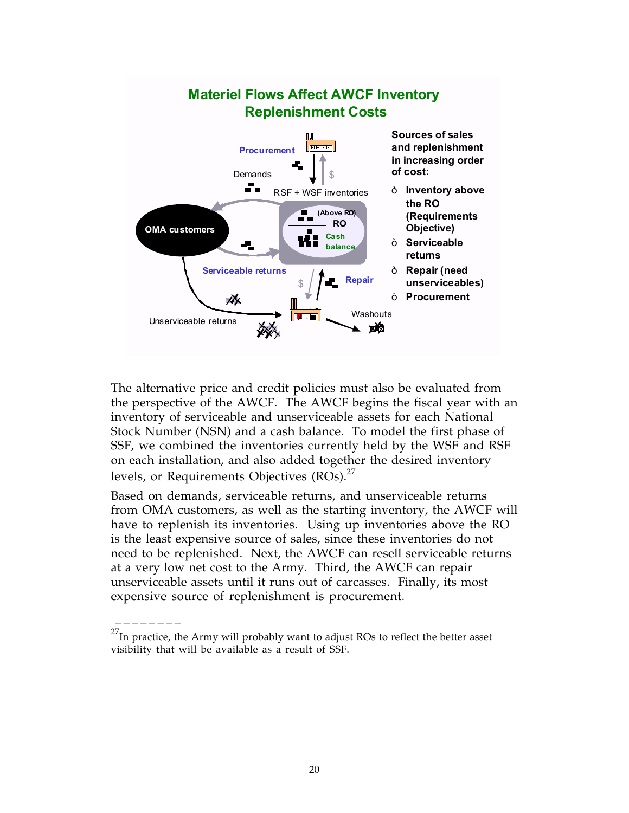

The alternative price and credit policies must also be evaluated from the perspective of the AWCF. The AWCF begins the fiscal year with an inventory of serviceable and unserviceable assets for each National Stock Number (NSN) and a cash balance. To model the first phase of SSF, we combined the inventories currently held by the WSF and RSF on each installation, and also added together the desired inventory levels, or Requirements Objectives (ROs).<sup>27</sup>

Based on demands, serviceable returns, and unserviceable returns from OMA customers, as well as the starting inventory, the AWCF will have to replenish its inventories. Using up inventories above the RO is the least expensive source of sales, since these inventories do not need to be replenished. Next, the AWCF can resell serviceable returns at a very low net cost to the Army. Third, the AWCF can repair unserviceable assets until it runs out of carcasses. Finally, its most expensive source of replenishment is procurement.

 $^{27}$ In practice, the Army will probably want to adjust ROs to reflect the better asset visibility that will be available as a result of SSF.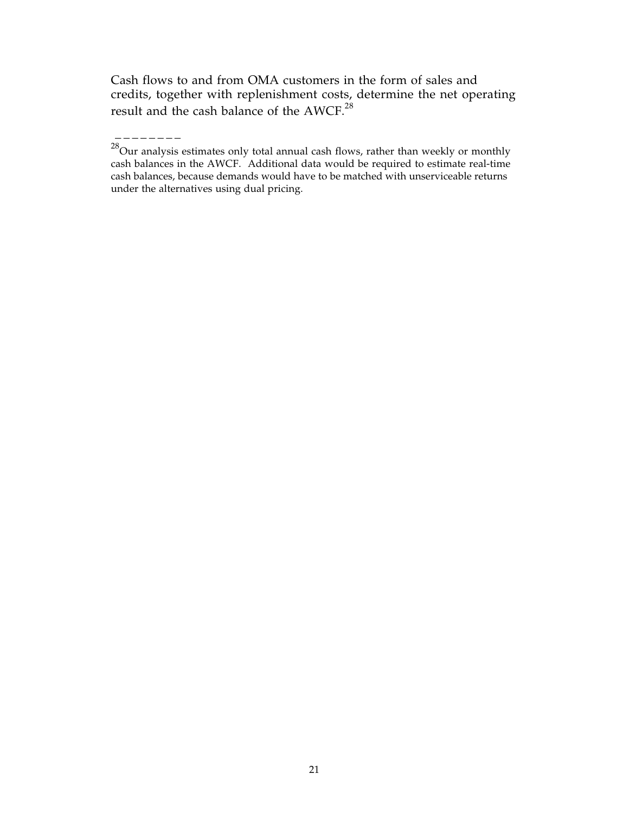Cash flows to and from OMA customers in the form of sales and credits, together with replenishment costs, determine the net operating result and the cash balance of the AWCF. $^{28}$ 

 $^{28}$ Our analysis estimates only total annual cash flows, rather than weekly or monthly cash balances in the AWCF. Additional data would be required to estimate real-time cash balances, because demands would have to be matched with unserviceable returns under the alternatives using dual pricing.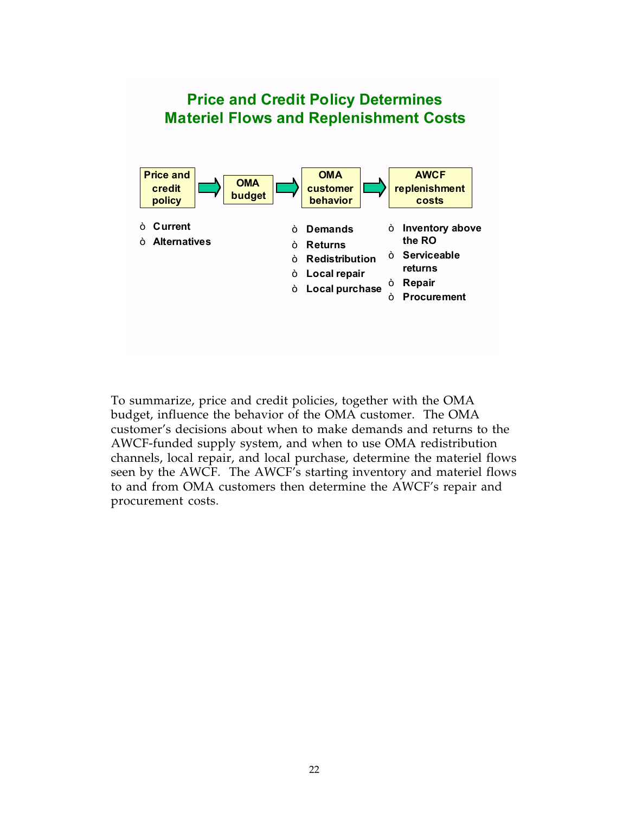## **Price and Credit Policy Determines Materiel Flows and Replenishment Costs**



To summarize, price and credit policies, together with the OMA budget, influence the behavior of the OMA customer. The OMA customer's decisions about when to make demands and returns to the AWCF-funded supply system, and when to use OMA redistribution channels, local repair, and local purchase, determine the materiel flows seen by the AWCF. The AWCF's starting inventory and materiel flows to and from OMA customers then determine the AWCF's repair and procurement costs.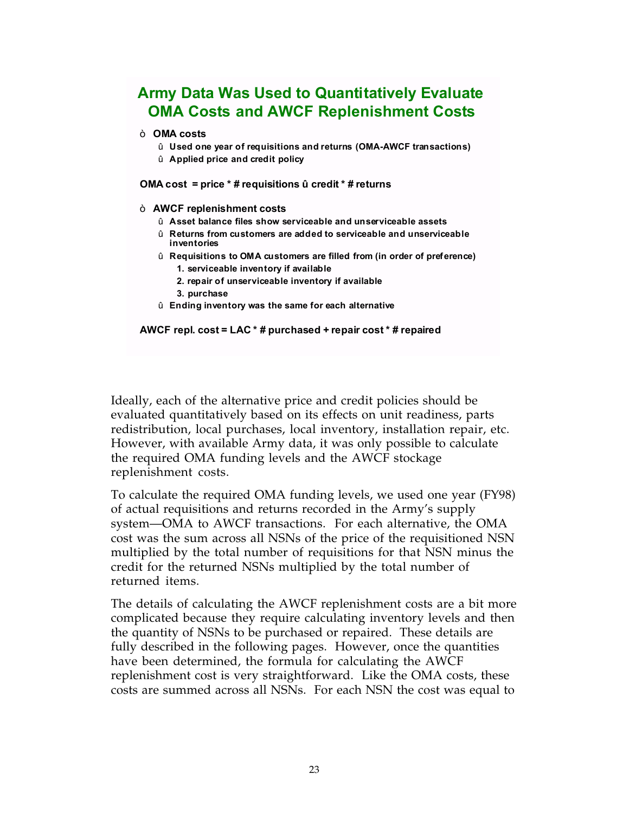## **Army Data Was Used to Quantitatively Evaluate OMA Costs and AWCF Replenishment Costs**

#### ò **OMA costs**

- û **Used one year of requisitions and returns (OMA-AWCF transactions)**
- û **Applied price and credit policy**

**OMA cost = price \* # requisitions û credit \* # returns**

#### ò **AWCF replenishment costs**

- û **Asset balance files show serviceable and unserviceable assets**
- û **Returns from customers are added to serviceable and unserviceable inventories**
- û **Requisitions to OMA customers are filled from (in order of preference) 1. serviceable inventory if available**
	- **2. repair of unserviceable inventory if available**
	- **3. purchase**
- û **Ending inventory was the same for each alternative**

#### **AWCF repl. cost = LAC \* # purchased + repair cost \* # repaired**

Ideally, each of the alternative price and credit policies should be evaluated quantitatively based on its effects on unit readiness, parts redistribution, local purchases, local inventory, installation repair, etc. However, with available Army data, it was only possible to calculate the required OMA funding levels and the AWCF stockage replenishment costs.

To calculate the required OMA funding levels, we used one year (FY98) of actual requisitions and returns recorded in the Army's supply system—OMA to AWCF transactions. For each alternative, the OMA cost was the sum across all NSNs of the price of the requisitioned NSN multiplied by the total number of requisitions for that NSN minus the credit for the returned NSNs multiplied by the total number of returned items.

The details of calculating the AWCF replenishment costs are a bit more complicated because they require calculating inventory levels and then the quantity of NSNs to be purchased or repaired. These details are fully described in the following pages. However, once the quantities have been determined, the formula for calculating the AWCF replenishment cost is very straightforward. Like the OMA costs, these costs are summed across all NSNs. For each NSN the cost was equal to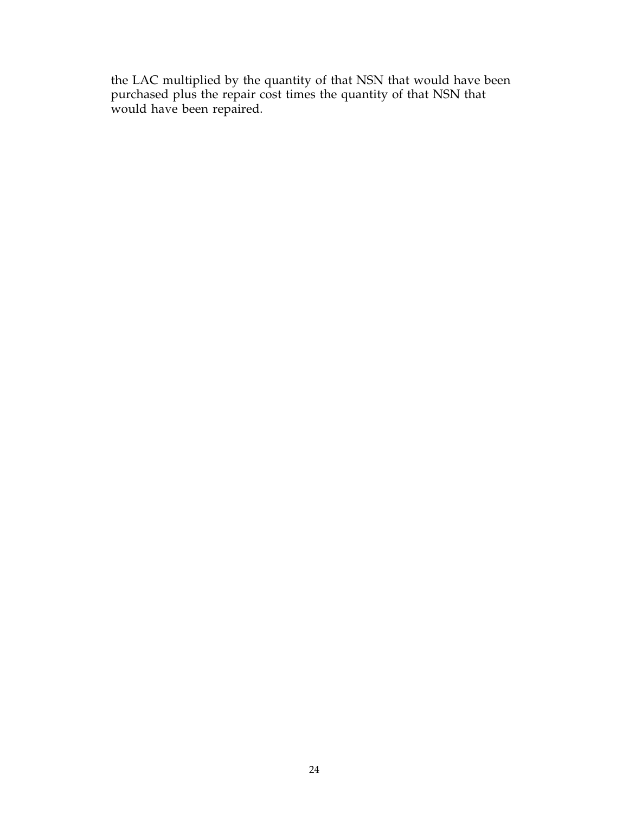the LAC multiplied by the quantity of that NSN that would have been purchased plus the repair cost times the quantity of that NSN that would have been repaired.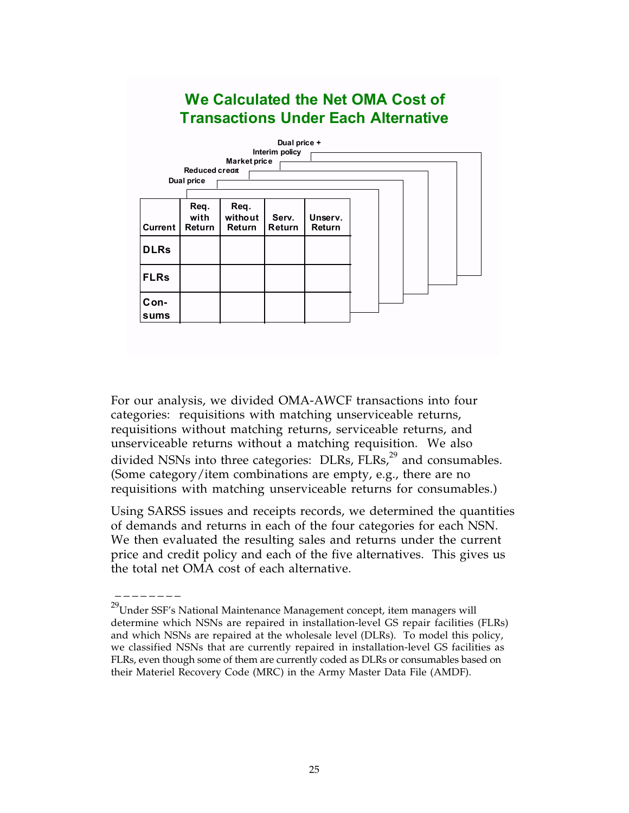## **We Calculated the Net OMA Cost of Transactions Under Each Alternative**



For our analysis, we divided OMA-AWCF transactions into four categories: requisitions with matching unserviceable returns, requisitions without matching returns, serviceable returns, and unserviceable returns without a matching requisition. We also divided NSNs into three categories:  $DLRs$ ,  $FLRs$ ,  $^{29}$  and consumables. (Some category/item combinations are empty, e.g., there are no requisitions with matching unserviceable returns for consumables.)

Using SARSS issues and receipts records, we determined the quantities of demands and returns in each of the four categories for each NSN. We then evaluated the resulting sales and returns under the current price and credit policy and each of the five alternatives. This gives us the total net OMA cost of each alternative.

 $^{29}$ Under SSF's National Maintenance Management concept, item managers will determine which NSNs are repaired in installation-level GS repair facilities (FLRs) and which NSNs are repaired at the wholesale level (DLRs). To model this policy, we classified NSNs that are currently repaired in installation-level GS facilities as FLRs, even though some of them are currently coded as DLRs or consumables based on their Materiel Recovery Code (MRC) in the Army Master Data File (AMDF).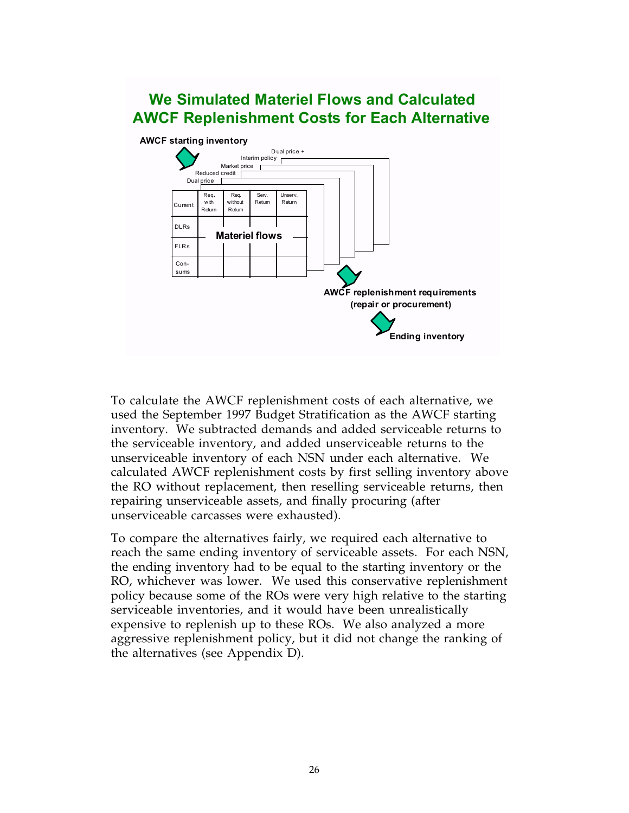## **We Simulated Materiel Flows and Calculated AWCF Replenishment Costs for Each Alternative**



To calculate the AWCF replenishment costs of each alternative, we used the September 1997 Budget Stratification as the AWCF starting inventory. We subtracted demands and added serviceable returns to the serviceable inventory, and added unserviceable returns to the unserviceable inventory of each NSN under each alternative. We calculated AWCF replenishment costs by first selling inventory above the RO without replacement, then reselling serviceable returns, then repairing unserviceable assets, and finally procuring (after unserviceable carcasses were exhausted).

To compare the alternatives fairly, we required each alternative to reach the same ending inventory of serviceable assets. For each NSN, the ending inventory had to be equal to the starting inventory or the RO, whichever was lower. We used this conservative replenishment policy because some of the ROs were very high relative to the starting serviceable inventories, and it would have been unrealistically expensive to replenish up to these ROs. We also analyzed a more aggressive replenishment policy, but it did not change the ranking of the alternatives (see Appendix D).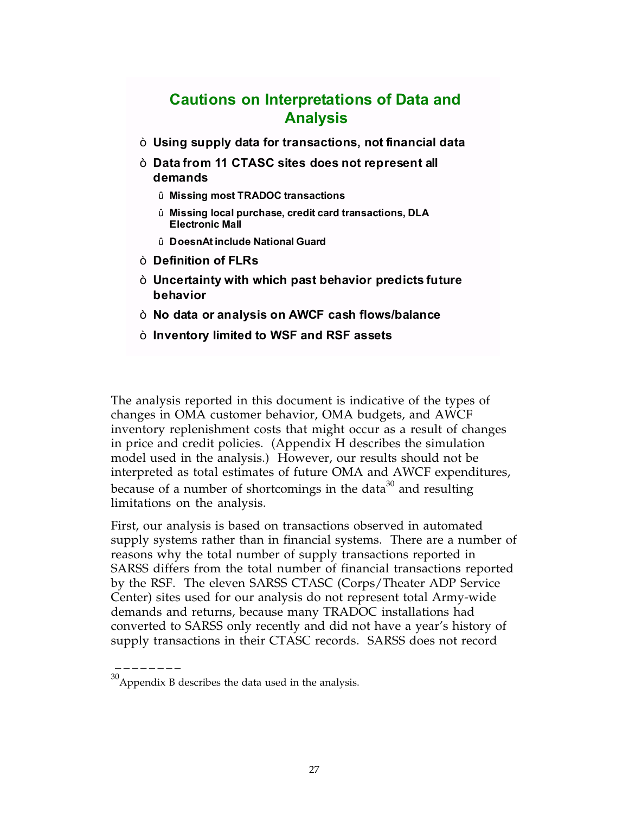## **Cautions on Interpretations of Data and Analysis**

- ò **Using supply data for transactions, not financial data**
- ò **Data from 11 CTASC sites does not represent all demands**
	- û **Missing most TRADOC transactions**
	- û **Missing local purchase, credit card transactions, DLA Electronic Mall**
	- û **DoesnAt include National Guard**
- ò **Definition of FLRs**
- ò **Uncertainty with which past behavior predicts future behavior**
- ò **No data or analysis on AWCF cash flows/balance**
- ò **Inventory limited to WSF and RSF assets**

The analysis reported in this document is indicative of the types of changes in OMA customer behavior, OMA budgets, and AWCF inventory replenishment costs that might occur as a result of changes in price and credit policies. (Appendix H describes the simulation model used in the analysis.) However, our results should not be interpreted as total estimates of future OMA and AWCF expenditures, because of a number of shortcomings in the data<sup>30</sup> and resulting limitations on the analysis.

First, our analysis is based on transactions observed in automated supply systems rather than in financial systems. There are a number of reasons why the total number of supply transactions reported in SARSS differs from the total number of financial transactions reported by the RSF. The eleven SARSS CTASC (Corps/Theater ADP Service Center) sites used for our analysis do not represent total Army-wide demands and returns, because many TRADOC installations had converted to SARSS only recently and did not have a year's history of supply transactions in their CTASC records. SARSS does not record

 $30$ Appendix B describes the data used in the analysis.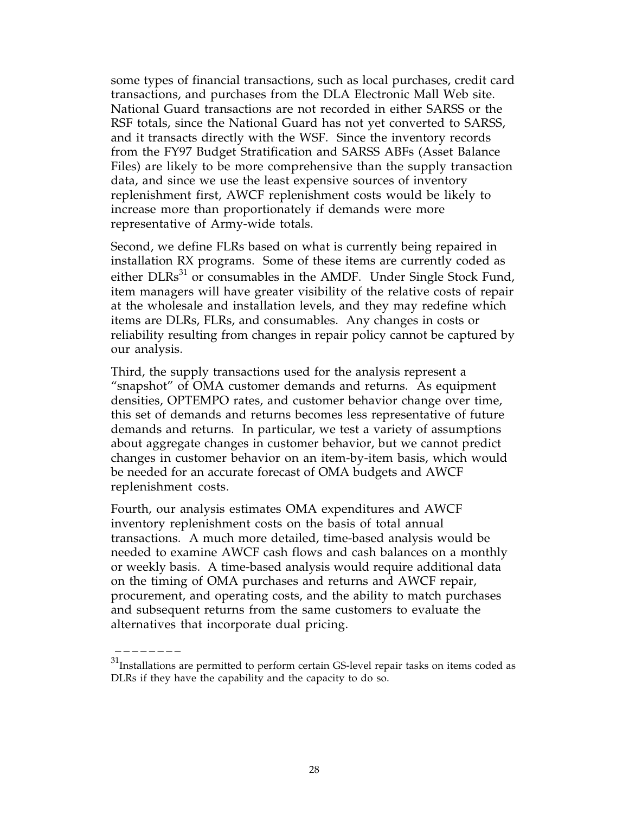some types of financial transactions, such as local purchases, credit card transactions, and purchases from the DLA Electronic Mall Web site. National Guard transactions are not recorded in either SARSS or the RSF totals, since the National Guard has not yet converted to SARSS, and it transacts directly with the WSF. Since the inventory records from the FY97 Budget Stratification and SARSS ABFs (Asset Balance Files) are likely to be more comprehensive than the supply transaction data, and since we use the least expensive sources of inventory replenishment first, AWCF replenishment costs would be likely to increase more than proportionately if demands were more representative of Army-wide totals.

Second, we define FLRs based on what is currently being repaired in installation RX programs. Some of these items are currently coded as either DLRs<sup>31</sup> or consumables in the AMDF. Under Single Stock Fund, item managers will have greater visibility of the relative costs of repair at the wholesale and installation levels, and they may redefine which items are DLRs, FLRs, and consumables. Any changes in costs or reliability resulting from changes in repair policy cannot be captured by our analysis.

Third, the supply transactions used for the analysis represent a "snapshot" of OMA customer demands and returns. As equipment densities, OPTEMPO rates, and customer behavior change over time, this set of demands and returns becomes less representative of future demands and returns. In particular, we test a variety of assumptions about aggregate changes in customer behavior, but we cannot predict changes in customer behavior on an item-by-item basis, which would be needed for an accurate forecast of OMA budgets and AWCF replenishment costs.

Fourth, our analysis estimates OMA expenditures and AWCF inventory replenishment costs on the basis of total annual transactions. A much more detailed, time-based analysis would be needed to examine AWCF cash flows and cash balances on a monthly or weekly basis. A time-based analysis would require additional data on the timing of OMA purchases and returns and AWCF repair, procurement, and operating costs, and the ability to match purchases and subsequent returns from the same customers to evaluate the alternatives that incorporate dual pricing.

 $^{31}$  Installations are permitted to perform certain GS-level repair tasks on items coded as DLRs if they have the capability and the capacity to do so.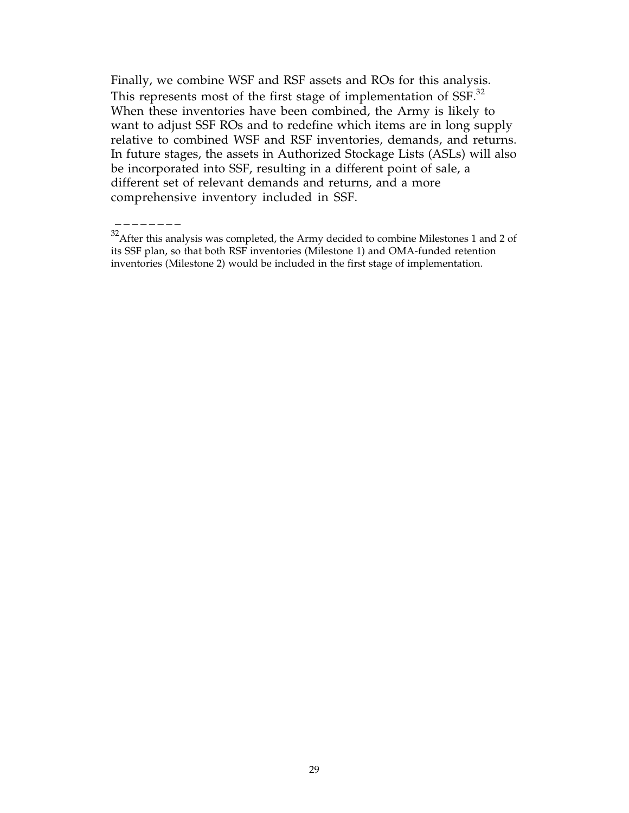Finally, we combine WSF and RSF assets and ROs for this analysis. This represents most of the first stage of implementation of SSF.<sup>32</sup> When these inventories have been combined, the Army is likely to want to adjust SSF ROs and to redefine which items are in long supply relative to combined WSF and RSF inventories, demands, and returns. In future stages, the assets in Authorized Stockage Lists (ASLs) will also be incorporated into SSF, resulting in a different point of sale, a different set of relevant demands and returns, and a more comprehensive inventory included in SSF.

 $32$ After this analysis was completed, the Army decided to combine Milestones 1 and 2 of its SSF plan, so that both RSF inventories (Milestone 1) and OMA-funded retention inventories (Milestone 2) would be included in the first stage of implementation.